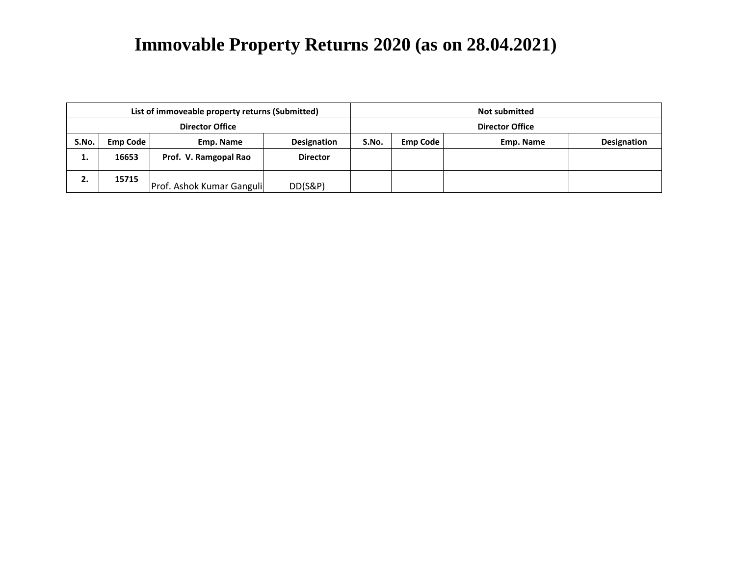| List of immoveable property returns (Submitted) |                 |                           |                    |       | <b>Not submitted</b>   |           |             |  |
|-------------------------------------------------|-----------------|---------------------------|--------------------|-------|------------------------|-----------|-------------|--|
| <b>Director Office</b>                          |                 |                           |                    |       | <b>Director Office</b> |           |             |  |
| S.No.                                           | <b>Emp Code</b> | Emp. Name                 | <b>Designation</b> | S.No. | <b>Emp Code</b>        | Emp. Name | Designation |  |
| ٠.                                              | 16653           | Prof. V. Ramgopal Rao     | <b>Director</b>    |       |                        |           |             |  |
| 2.                                              | 15715           | Prof. Ashok Kumar Ganguli | DD(S&P)            |       |                        |           |             |  |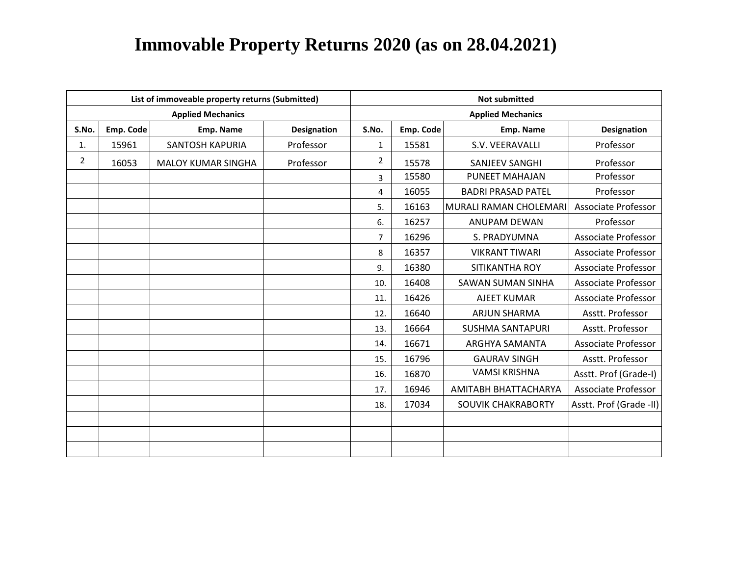|                |           | List of immoveable property returns (Submitted) |                    | <b>Not submitted</b> |           |                           |                            |  |  |
|----------------|-----------|-------------------------------------------------|--------------------|----------------------|-----------|---------------------------|----------------------------|--|--|
|                |           | <b>Applied Mechanics</b>                        |                    |                      |           | <b>Applied Mechanics</b>  |                            |  |  |
| S.No.          | Emp. Code | Emp. Name                                       | <b>Designation</b> | S.No.                | Emp. Code | Emp. Name                 | <b>Designation</b>         |  |  |
| 1.             | 15961     | <b>SANTOSH KAPURIA</b>                          | Professor          | 1                    | 15581     | S.V. VEERAVALLI           | Professor                  |  |  |
| $\overline{2}$ | 16053     | <b>MALOY KUMAR SINGHA</b>                       | Professor          | 2                    | 15578     | SANJEEV SANGHI            | Professor                  |  |  |
|                |           |                                                 |                    | 3                    | 15580     | PUNEET MAHAJAN            | Professor                  |  |  |
|                |           |                                                 |                    | 4                    | 16055     | <b>BADRI PRASAD PATEL</b> | Professor                  |  |  |
|                |           |                                                 |                    | 5.                   | 16163     | MURALI RAMAN CHOLEMARI    | <b>Associate Professor</b> |  |  |
|                |           |                                                 |                    | 6.                   | 16257     | <b>ANUPAM DEWAN</b>       | Professor                  |  |  |
|                |           |                                                 |                    | $\overline{7}$       | 16296     | S. PRADYUMNA              | <b>Associate Professor</b> |  |  |
|                |           |                                                 |                    | 8                    | 16357     | <b>VIKRANT TIWARI</b>     | <b>Associate Professor</b> |  |  |
|                |           |                                                 |                    | 9.                   | 16380     | SITIKANTHA ROY            | <b>Associate Professor</b> |  |  |
|                |           |                                                 |                    | 10.                  | 16408     | <b>SAWAN SUMAN SINHA</b>  | <b>Associate Professor</b> |  |  |
|                |           |                                                 |                    | 11.                  | 16426     | <b>AJEET KUMAR</b>        | <b>Associate Professor</b> |  |  |
|                |           |                                                 |                    | 12.                  | 16640     | <b>ARJUN SHARMA</b>       | Asstt. Professor           |  |  |
|                |           |                                                 |                    | 13.                  | 16664     | <b>SUSHMA SANTAPURI</b>   | Asstt. Professor           |  |  |
|                |           |                                                 |                    | 14.                  | 16671     | ARGHYA SAMANTA            | <b>Associate Professor</b> |  |  |
|                |           |                                                 |                    | 15.                  | 16796     | <b>GAURAV SINGH</b>       | Asstt. Professor           |  |  |
|                |           |                                                 |                    | 16.                  | 16870     | <b>VAMSI KRISHNA</b>      | Asstt. Prof (Grade-I)      |  |  |
|                |           |                                                 |                    | 17.                  | 16946     | AMITABH BHATTACHARYA      | <b>Associate Professor</b> |  |  |
|                |           |                                                 |                    | 18.                  | 17034     | SOUVIK CHAKRABORTY        | Asstt. Prof (Grade -II)    |  |  |
|                |           |                                                 |                    |                      |           |                           |                            |  |  |
|                |           |                                                 |                    |                      |           |                           |                            |  |  |
|                |           |                                                 |                    |                      |           |                           |                            |  |  |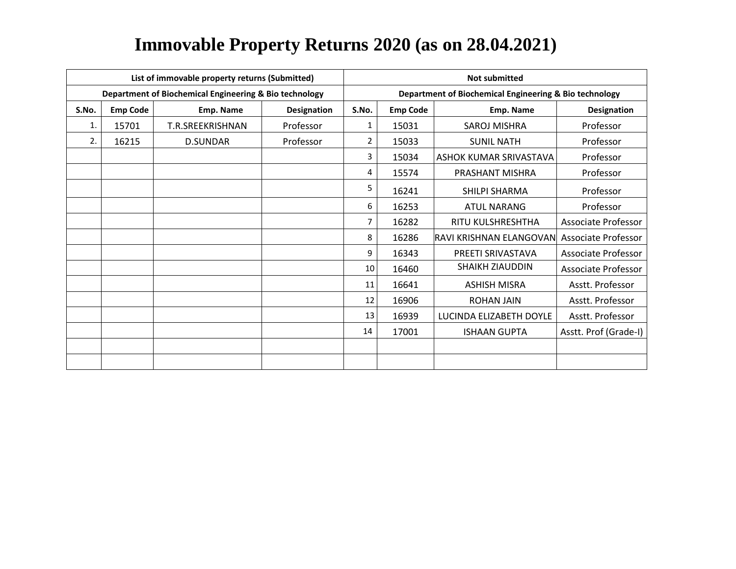|       |                                             | List of immovable property returns (Submitted)         |           | <b>Not submitted</b> |                 |                                                        |                            |  |
|-------|---------------------------------------------|--------------------------------------------------------|-----------|----------------------|-----------------|--------------------------------------------------------|----------------------------|--|
|       |                                             | Department of Biochemical Engineering & Bio technology |           |                      |                 | Department of Biochemical Engineering & Bio technology |                            |  |
| S.No. | <b>Emp Code</b><br>Emp. Name<br>Designation |                                                        |           | S.No.                | <b>Emp Code</b> | Emp. Name                                              | <b>Designation</b>         |  |
| 1.    | 15701                                       | T.R.SREEKRISHNAN                                       | Professor | 1                    | 15031           | SAROJ MISHRA                                           | Professor                  |  |
| 2.    | 16215                                       | D.SUNDAR                                               | Professor | $\overline{2}$       | 15033           | <b>SUNIL NATH</b>                                      | Professor                  |  |
|       |                                             |                                                        |           | 3                    | 15034           | ASHOK KUMAR SRIVASTAVA                                 | Professor                  |  |
|       |                                             |                                                        |           | 4                    | 15574           | PRASHANT MISHRA                                        | Professor                  |  |
|       |                                             |                                                        |           | 5                    | 16241           | SHILPI SHARMA                                          | Professor                  |  |
|       |                                             |                                                        |           | 6                    | 16253           | <b>ATUL NARANG</b>                                     | Professor                  |  |
|       |                                             |                                                        |           | 7                    | 16282           | RITU KULSHRESHTHA                                      | Associate Professor        |  |
|       |                                             |                                                        |           | 8                    | 16286           | RAVI KRISHNAN ELANGOVAN                                | Associate Professor        |  |
|       |                                             |                                                        |           | 9                    | 16343           | PREETI SRIVASTAVA                                      | <b>Associate Professor</b> |  |
|       |                                             |                                                        |           | 10                   | 16460           | <b>SHAIKH ZIAUDDIN</b>                                 | <b>Associate Professor</b> |  |
|       |                                             |                                                        |           | 11                   | 16641           | <b>ASHISH MISRA</b>                                    | Asstt. Professor           |  |
|       |                                             |                                                        |           | 12                   | 16906           | <b>ROHAN JAIN</b>                                      | Asstt. Professor           |  |
|       |                                             |                                                        |           | 13                   | 16939           | LUCINDA ELIZABETH DOYLE                                | Asstt. Professor           |  |
|       |                                             |                                                        |           | 14                   | 17001           | <b>ISHAAN GUPTA</b>                                    | Asstt. Prof (Grade-I)      |  |
|       |                                             |                                                        |           |                      |                 |                                                        |                            |  |
|       |                                             |                                                        |           |                      |                 |                                                        |                            |  |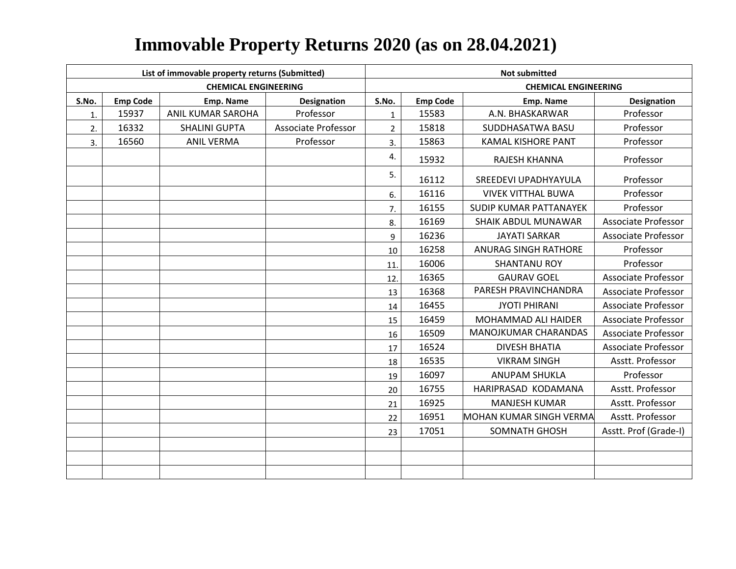|       |                 | List of immovable property returns (Submitted) |                     | <b>Not submitted</b> |                 |                                |                            |  |  |
|-------|-----------------|------------------------------------------------|---------------------|----------------------|-----------------|--------------------------------|----------------------------|--|--|
|       |                 | <b>CHEMICAL ENGINEERING</b>                    |                     |                      |                 | <b>CHEMICAL ENGINEERING</b>    |                            |  |  |
| S.No. | <b>Emp Code</b> | <b>Emp. Name</b>                               | <b>Designation</b>  | S.No.                | <b>Emp Code</b> | Emp. Name                      | <b>Designation</b>         |  |  |
| 1.    | 15937           | ANIL KUMAR SAROHA                              | Professor           | $\mathbf{1}$         | 15583           | A.N. BHASKARWAR                | Professor                  |  |  |
| 2.    | 16332           | <b>SHALINI GUPTA</b>                           | Associate Professor | $2^{\circ}$          | 15818           | SUDDHASATWA BASU               | Professor                  |  |  |
| 3.    | 16560           | <b>ANIL VERMA</b>                              | Professor           | 3.                   | 15863           | <b>KAMAL KISHORE PANT</b>      | Professor                  |  |  |
|       |                 |                                                |                     | 4.                   | 15932           | RAJESH KHANNA                  | Professor                  |  |  |
|       |                 |                                                |                     | 5.                   | 16112           | SREEDEVI UPADHYAYULA           | Professor                  |  |  |
|       |                 |                                                |                     | 6.                   | 16116           | <b>VIVEK VITTHAL BUWA</b>      | Professor                  |  |  |
|       |                 |                                                |                     | 7.                   | 16155           | <b>SUDIP KUMAR PATTANAYEK</b>  | Professor                  |  |  |
|       |                 |                                                |                     | 8.                   | 16169           | SHAIK ABDUL MUNAWAR            | <b>Associate Professor</b> |  |  |
|       |                 |                                                |                     | 9                    | 16236           | <b>JAYATI SARKAR</b>           | <b>Associate Professor</b> |  |  |
|       |                 |                                                |                     | 10                   | 16258           | <b>ANURAG SINGH RATHORE</b>    | Professor                  |  |  |
|       |                 |                                                |                     | 11.                  | 16006           | <b>SHANTANU ROY</b>            | Professor                  |  |  |
|       |                 |                                                |                     | 12.                  | 16365           | <b>GAURAV GOEL</b>             | <b>Associate Professor</b> |  |  |
|       |                 |                                                |                     | 13                   | 16368           | PARESH PRAVINCHANDRA           | <b>Associate Professor</b> |  |  |
|       |                 |                                                |                     | 14                   | 16455           | <b>JYOTI PHIRANI</b>           | <b>Associate Professor</b> |  |  |
|       |                 |                                                |                     | 15                   | 16459           | <b>MOHAMMAD ALI HAIDER</b>     | <b>Associate Professor</b> |  |  |
|       |                 |                                                |                     | 16                   | 16509           | MANOJKUMAR CHARANDAS           | <b>Associate Professor</b> |  |  |
|       |                 |                                                |                     | 17                   | 16524           | <b>DIVESH BHATIA</b>           | <b>Associate Professor</b> |  |  |
|       |                 |                                                |                     | 18                   | 16535           | <b>VIKRAM SINGH</b>            | Asstt. Professor           |  |  |
|       |                 |                                                |                     | 19                   | 16097           | <b>ANUPAM SHUKLA</b>           | Professor                  |  |  |
|       |                 |                                                |                     | 20                   | 16755           | HARIPRASAD KODAMANA            | Asstt. Professor           |  |  |
|       |                 |                                                |                     | 21                   | 16925           | <b>MANJESH KUMAR</b>           | Asstt. Professor           |  |  |
|       |                 |                                                |                     | 22                   | 16951           | <b>MOHAN KUMAR SINGH VERMA</b> | Asstt. Professor           |  |  |
|       |                 |                                                |                     | 23                   | 17051           | <b>SOMNATH GHOSH</b>           | Asstt. Prof (Grade-I)      |  |  |
|       |                 |                                                |                     |                      |                 |                                |                            |  |  |
|       |                 |                                                |                     |                      |                 |                                |                            |  |  |
|       |                 |                                                |                     |                      |                 |                                |                            |  |  |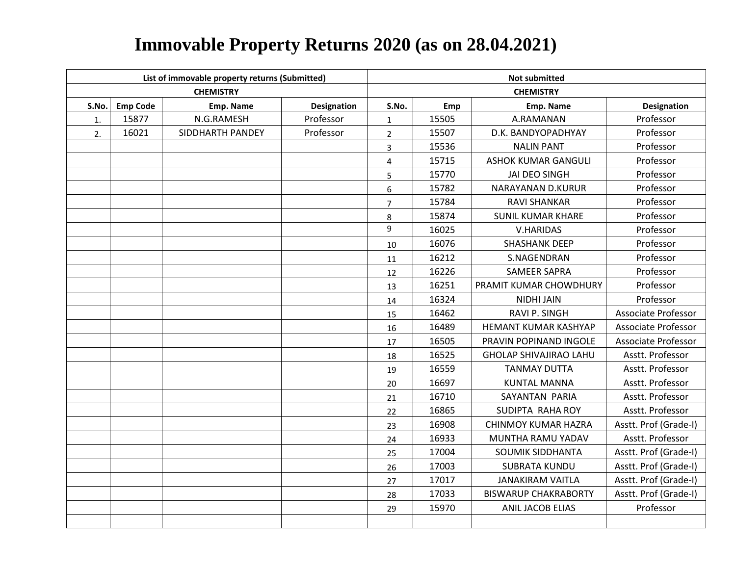|       |                 | List of immovable property returns (Submitted) |             | <b>Not submitted</b> |       |                               |                            |  |  |
|-------|-----------------|------------------------------------------------|-------------|----------------------|-------|-------------------------------|----------------------------|--|--|
|       |                 | <b>CHEMISTRY</b>                               |             |                      |       | <b>CHEMISTRY</b>              |                            |  |  |
| S.No. | <b>Emp Code</b> | Emp. Name                                      | Designation | S.No.                | Emp   | Emp. Name                     | <b>Designation</b>         |  |  |
| 1.    | 15877           | N.G.RAMESH                                     | Professor   | $\mathbf 1$          | 15505 | A.RAMANAN                     | Professor                  |  |  |
| 2.    | 16021           | SIDDHARTH PANDEY                               | Professor   | $\overline{2}$       | 15507 | D.K. BANDYOPADHYAY            | Professor                  |  |  |
|       |                 |                                                |             | 3                    | 15536 | <b>NALIN PANT</b>             | Professor                  |  |  |
|       |                 |                                                |             | 4                    | 15715 | <b>ASHOK KUMAR GANGULI</b>    | Professor                  |  |  |
|       |                 |                                                |             | 5                    | 15770 | <b>JAI DEO SINGH</b>          | Professor                  |  |  |
|       |                 |                                                |             | 6                    | 15782 | NARAYANAN D.KURUR             | Professor                  |  |  |
|       |                 |                                                |             | $\overline{7}$       | 15784 | <b>RAVI SHANKAR</b>           | Professor                  |  |  |
|       |                 |                                                |             | 8                    | 15874 | <b>SUNIL KUMAR KHARE</b>      | Professor                  |  |  |
|       |                 |                                                |             | 9                    | 16025 | <b>V.HARIDAS</b>              | Professor                  |  |  |
|       |                 |                                                |             | 10                   | 16076 | <b>SHASHANK DEEP</b>          | Professor                  |  |  |
|       |                 |                                                |             | 11                   | 16212 | S.NAGENDRAN                   | Professor                  |  |  |
|       |                 |                                                |             | 12                   | 16226 | <b>SAMEER SAPRA</b>           | Professor                  |  |  |
|       |                 |                                                |             | 13                   | 16251 | PRAMIT KUMAR CHOWDHURY        | Professor                  |  |  |
|       |                 |                                                |             | 14                   | 16324 | <b>NIDHI JAIN</b>             | Professor                  |  |  |
|       |                 |                                                |             | 15                   | 16462 | RAVI P. SINGH                 | <b>Associate Professor</b> |  |  |
|       |                 |                                                |             | 16                   | 16489 | HEMANT KUMAR KASHYAP          | <b>Associate Professor</b> |  |  |
|       |                 |                                                |             | 17                   | 16505 | PRAVIN POPINAND INGOLE        | <b>Associate Professor</b> |  |  |
|       |                 |                                                |             | 18                   | 16525 | <b>GHOLAP SHIVAJIRAO LAHU</b> | Asstt. Professor           |  |  |
|       |                 |                                                |             | 19                   | 16559 | <b>TANMAY DUTTA</b>           | Asstt. Professor           |  |  |
|       |                 |                                                |             | 20                   | 16697 | <b>KUNTAL MANNA</b>           | Asstt. Professor           |  |  |
|       |                 |                                                |             | 21                   | 16710 | SAYANTAN PARIA                | Asstt. Professor           |  |  |
|       |                 |                                                |             | 22                   | 16865 | SUDIPTA RAHA ROY              | Asstt. Professor           |  |  |
|       |                 |                                                |             | 23                   | 16908 | CHINMOY KUMAR HAZRA           | Asstt. Prof (Grade-I)      |  |  |
|       |                 |                                                |             | 24                   | 16933 | MUNTHA RAMU YADAV             | Asstt. Professor           |  |  |
|       |                 |                                                |             | 25                   | 17004 | SOUMIK SIDDHANTA              | Asstt. Prof (Grade-I)      |  |  |
|       |                 |                                                |             | 26                   | 17003 | <b>SUBRATA KUNDU</b>          | Asstt. Prof (Grade-I)      |  |  |
|       |                 |                                                |             | 27                   | 17017 | <b>JANAKIRAM VAITLA</b>       | Asstt. Prof (Grade-I)      |  |  |
|       |                 |                                                |             | 28                   | 17033 | <b>BISWARUP CHAKRABORTY</b>   | Asstt. Prof (Grade-I)      |  |  |
|       |                 |                                                |             | 29                   | 15970 | <b>ANIL JACOB ELIAS</b>       | Professor                  |  |  |
|       |                 |                                                |             |                      |       |                               |                            |  |  |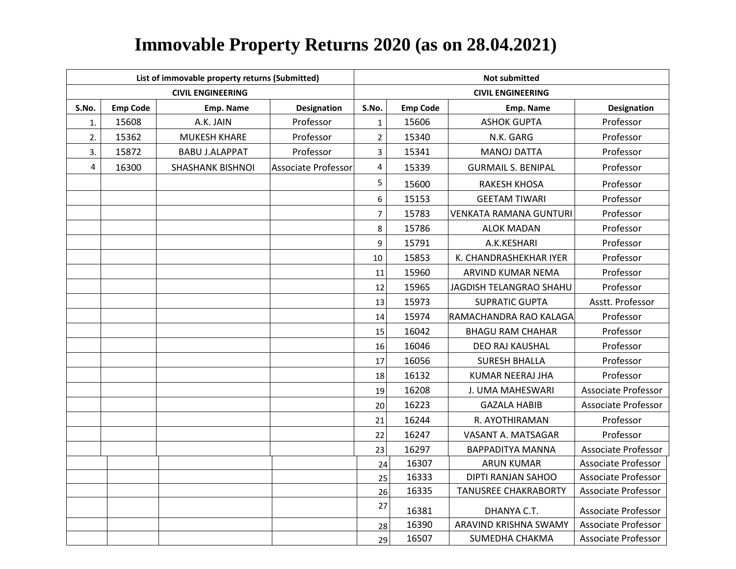|                         |                 | List of immovable property returns (Submitted) |                            | <b>Not submitted</b>    |                          |                               |                            |  |  |
|-------------------------|-----------------|------------------------------------------------|----------------------------|-------------------------|--------------------------|-------------------------------|----------------------------|--|--|
|                         |                 | <b>CIVIL ENGINEERING</b>                       |                            |                         | <b>CIVIL ENGINEERING</b> |                               |                            |  |  |
| S.No.                   | <b>Emp Code</b> | Emp. Name                                      | Designation                | S.No.                   | <b>Emp Code</b>          | Emp. Name                     | <b>Designation</b>         |  |  |
| 1.                      | 15608           | A.K. JAIN                                      | Professor                  | $\mathbf{1}$            | 15606                    | <b>ASHOK GUPTA</b>            | Professor                  |  |  |
| 2.                      | 15362           | <b>MUKESH KHARE</b>                            | Professor                  | $\overline{2}$          | 15340                    | N.K. GARG                     | Professor                  |  |  |
| 3.                      | 15872           | <b>BABU J.ALAPPAT</b>                          | Professor                  | 3                       | 15341                    | <b>MANOJ DATTA</b>            | Professor                  |  |  |
| $\overline{\mathbf{4}}$ | 16300           | <b>SHASHANK BISHNOI</b>                        | <b>Associate Professor</b> | $\overline{\mathbf{4}}$ | 15339                    | <b>GURMAIL S. BENIPAL</b>     | Professor                  |  |  |
|                         |                 |                                                |                            | 5                       | 15600                    | <b>RAKESH KHOSA</b>           | Professor                  |  |  |
|                         |                 |                                                |                            | 6                       | 15153                    | <b>GEETAM TIWARI</b>          | Professor                  |  |  |
|                         |                 |                                                |                            | $\overline{7}$          | 15783                    | <b>VENKATA RAMANA GUNTURI</b> | Professor                  |  |  |
|                         |                 |                                                |                            | 8                       | 15786                    | <b>ALOK MADAN</b>             | Professor                  |  |  |
|                         |                 |                                                |                            | 9                       | 15791                    | A.K.KESHARI                   | Professor                  |  |  |
|                         |                 |                                                |                            | 10                      | 15853                    | K. CHANDRASHEKHAR IYER        | Professor                  |  |  |
|                         |                 |                                                |                            | 11                      | 15960                    | ARVIND KUMAR NEMA             | Professor                  |  |  |
|                         |                 |                                                |                            | 12                      | 15965                    | JAGDISH TELANGRAO SHAHU       | Professor                  |  |  |
|                         |                 |                                                |                            | 13                      | 15973                    | <b>SUPRATIC GUPTA</b>         | Asstt. Professor           |  |  |
|                         |                 |                                                |                            | 14                      | 15974                    | RAMACHANDRA RAO KALAGA        | Professor                  |  |  |
|                         |                 |                                                |                            | 15                      | 16042                    | <b>BHAGU RAM CHAHAR</b>       | Professor                  |  |  |
|                         |                 |                                                |                            | 16                      | 16046                    | <b>DEO RAJ KAUSHAL</b>        | Professor                  |  |  |
|                         |                 |                                                |                            | 17                      | 16056                    | <b>SURESH BHALLA</b>          | Professor                  |  |  |
|                         |                 |                                                |                            | 18                      | 16132                    | KUMAR NEERAJ JHA              | Professor                  |  |  |
|                         |                 |                                                |                            | 19                      | 16208                    | J. UMA MAHESWARI              | <b>Associate Professor</b> |  |  |
|                         |                 |                                                |                            | 20                      | 16223                    | <b>GAZALA HABIB</b>           | <b>Associate Professor</b> |  |  |
|                         |                 |                                                |                            | 21                      | 16244                    | R. AYOTHIRAMAN                | Professor                  |  |  |
|                         |                 |                                                |                            | 22                      | 16247                    | VASANT A. MATSAGAR            | Professor                  |  |  |
|                         |                 |                                                |                            | 23                      | 16297                    | <b>BAPPADITYA MANNA</b>       | <b>Associate Professor</b> |  |  |
|                         |                 |                                                |                            | 24                      | 16307                    | <b>ARUN KUMAR</b>             | <b>Associate Professor</b> |  |  |
|                         |                 |                                                |                            | 25                      | 16333                    | DIPTI RANJAN SAHOO            | <b>Associate Professor</b> |  |  |
|                         |                 |                                                |                            | 26                      | 16335                    | <b>TANUSREE CHAKRABORTY</b>   | <b>Associate Professor</b> |  |  |
|                         |                 |                                                |                            | 27                      | 16381                    | DHANYA C.T.                   | <b>Associate Professor</b> |  |  |
|                         |                 |                                                |                            | 28                      | 16390                    | ARAVIND KRISHNA SWAMY         | <b>Associate Professor</b> |  |  |
|                         |                 |                                                |                            | 29                      | 16507                    | SUMEDHA CHAKMA                | <b>Associate Professor</b> |  |  |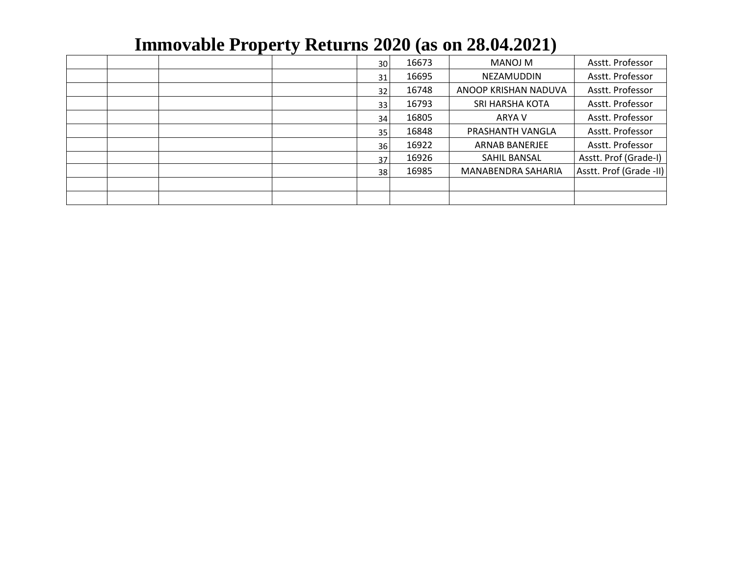|  |  | 30 | 16673 | MANOJ M               | Asstt. Professor        |
|--|--|----|-------|-----------------------|-------------------------|
|  |  | 31 | 16695 | NEZAMUDDIN            | Asstt. Professor        |
|  |  | 32 | 16748 | ANOOP KRISHAN NADUVA  | Asstt. Professor        |
|  |  | 33 | 16793 | SRI HARSHA KOTA       | Asstt. Professor        |
|  |  | 34 | 16805 | ARYA V                | Asstt. Professor        |
|  |  | 35 | 16848 | PRASHANTH VANGLA      | Asstt. Professor        |
|  |  | 36 | 16922 | <b>ARNAB BANERJEE</b> | Asstt. Professor        |
|  |  | 37 | 16926 | SAHIL BANSAL          | Asstt. Prof (Grade-I)   |
|  |  | 38 | 16985 | MANABENDRA SAHARIA    | Asstt. Prof (Grade -II) |
|  |  |    |       |                       |                         |
|  |  |    |       |                       |                         |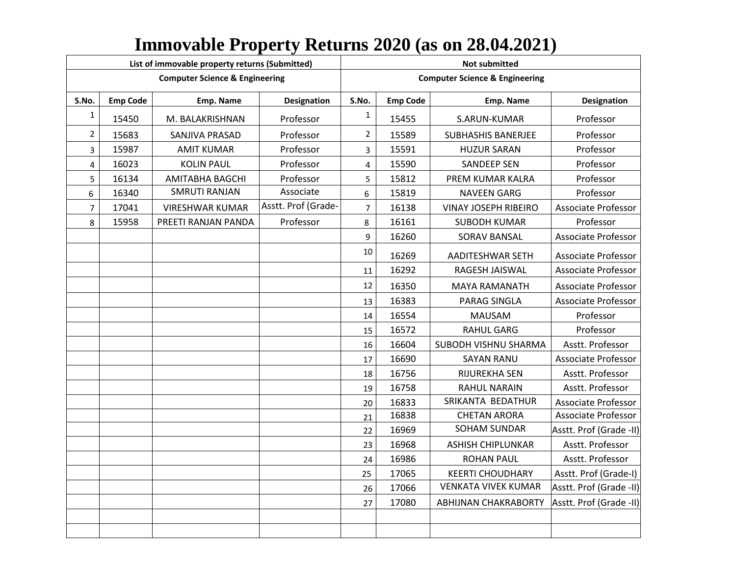|              |                 | List of immovable property returns (Submitted) |                     | <b>Not submitted</b> |                 |                                           |                            |  |  |
|--------------|-----------------|------------------------------------------------|---------------------|----------------------|-----------------|-------------------------------------------|----------------------------|--|--|
|              |                 | <b>Computer Science &amp; Engineering</b>      |                     |                      |                 | <b>Computer Science &amp; Engineering</b> |                            |  |  |
| S.No.        | <b>Emp Code</b> | Emp. Name                                      | <b>Designation</b>  | S.No.                | <b>Emp Code</b> | Emp. Name                                 | <b>Designation</b>         |  |  |
| $\mathbf{1}$ | 15450           | M. BALAKRISHNAN                                | Professor           | $\mathbf{1}$         | 15455           | S.ARUN-KUMAR                              | Professor                  |  |  |
| 2            | 15683           | SANJIVA PRASAD                                 | Professor           | $\overline{2}$       | 15589           | <b>SUBHASHIS BANERJEE</b>                 | Professor                  |  |  |
| 3            | 15987           | <b>AMIT KUMAR</b>                              | Professor           | 3                    | 15591           | <b>HUZUR SARAN</b>                        | Professor                  |  |  |
| 4            | 16023           | <b>KOLIN PAUL</b>                              | Professor           | 4                    | 15590           | <b>SANDEEP SEN</b>                        | Professor                  |  |  |
| 5            | 16134           | AMITABHA BAGCHI                                | Professor           | 5                    | 15812           | PREM KUMAR KALRA                          | Professor                  |  |  |
| 6            | 16340           | <b>SMRUTI RANJAN</b>                           | Associate           | 6                    | 15819           | <b>NAVEEN GARG</b>                        | Professor                  |  |  |
| 7            | 17041           | <b>VIRESHWAR KUMAR</b>                         | Asstt. Prof (Grade- | $\overline{7}$       | 16138           | <b>VINAY JOSEPH RIBEIRO</b>               | <b>Associate Professor</b> |  |  |
| 8            | 15958           | PREETI RANJAN PANDA                            | Professor           | 8                    | 16161           | <b>SUBODH KUMAR</b>                       | Professor                  |  |  |
|              |                 |                                                |                     | 9                    | 16260           | SORAV BANSAL                              | <b>Associate Professor</b> |  |  |
|              |                 |                                                |                     | 10                   | 16269           | AADITESHWAR SETH                          | <b>Associate Professor</b> |  |  |
|              |                 |                                                |                     | 11                   | 16292           | RAGESH JAISWAL                            | <b>Associate Professor</b> |  |  |
|              |                 |                                                |                     | 12                   | 16350           | MAYA RAMANATH                             | <b>Associate Professor</b> |  |  |
|              |                 |                                                |                     | 13                   | 16383           | PARAG SINGLA                              | Associate Professor        |  |  |
|              |                 |                                                |                     | 14                   | 16554           | <b>MAUSAM</b>                             | Professor                  |  |  |
|              |                 |                                                |                     | 15                   | 16572           | <b>RAHUL GARG</b>                         | Professor                  |  |  |
|              |                 |                                                |                     | 16                   | 16604           | SUBODH VISHNU SHARMA                      | Asstt. Professor           |  |  |
|              |                 |                                                |                     | 17                   | 16690           | SAYAN RANU                                | <b>Associate Professor</b> |  |  |
|              |                 |                                                |                     | 18                   | 16756           | RIJUREKHA SEN                             | Asstt. Professor           |  |  |
|              |                 |                                                |                     | 19                   | 16758           | <b>RAHUL NARAIN</b>                       | Asstt. Professor           |  |  |
|              |                 |                                                |                     | 20                   | 16833           | SRIKANTA BEDATHUR                         | <b>Associate Professor</b> |  |  |
|              |                 |                                                |                     | 21                   | 16838           | <b>CHETAN ARORA</b>                       | <b>Associate Professor</b> |  |  |
|              |                 |                                                |                     | 22                   | 16969           | <b>SOHAM SUNDAR</b>                       | Asstt. Prof (Grade -II)    |  |  |
|              |                 |                                                |                     | 23                   | 16968           | <b>ASHISH CHIPLUNKAR</b>                  | Asstt. Professor           |  |  |
|              |                 |                                                |                     | 24                   | 16986           | <b>ROHAN PAUL</b>                         | Asstt. Professor           |  |  |
|              |                 |                                                |                     | 25                   | 17065           | <b>KEERTI CHOUDHARY</b>                   | Asstt. Prof (Grade-I)      |  |  |
|              |                 |                                                |                     | 26                   | 17066           | <b>VENKATA VIVEK KUMAR</b>                | Asstt. Prof (Grade -II)    |  |  |
|              |                 |                                                |                     | 27                   | 17080           | ABHIJNAN CHAKRABORTY                      | Asstt. Prof (Grade -II)    |  |  |
|              |                 |                                                |                     |                      |                 |                                           |                            |  |  |
|              |                 |                                                |                     |                      |                 |                                           |                            |  |  |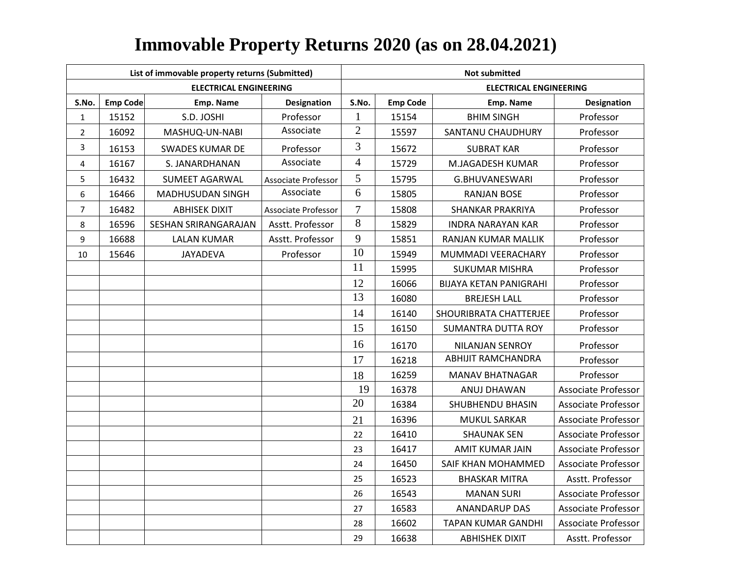|                         |                 | List of immovable property returns (Submitted) |                            | <b>Not submitted</b> |                 |                               |                            |  |  |
|-------------------------|-----------------|------------------------------------------------|----------------------------|----------------------|-----------------|-------------------------------|----------------------------|--|--|
|                         |                 | <b>ELECTRICAL ENGINEERING</b>                  |                            |                      |                 | <b>ELECTRICAL ENGINEERING</b> |                            |  |  |
| S.No.                   | <b>Emp Code</b> | Emp. Name                                      | <b>Designation</b>         | S.No.                | <b>Emp Code</b> | Emp. Name                     | Designation                |  |  |
| $\mathbf{1}$            | 15152           | S.D. JOSHI                                     | Professor                  | $\mathbf{1}$         | 15154           | <b>BHIM SINGH</b>             | Professor                  |  |  |
| $\overline{2}$          | 16092           | MASHUQ-UN-NABI                                 | Associate                  | $\mathfrak{2}$       | 15597           | SANTANU CHAUDHURY             | Professor                  |  |  |
| 3                       | 16153           | <b>SWADES KUMAR DE</b>                         | Professor                  | 3                    | 15672           | <b>SUBRAT KAR</b>             | Professor                  |  |  |
| $\overline{\mathbf{4}}$ | 16167           | S. JANARDHANAN                                 | Associate                  | $\overline{4}$       | 15729           | M.JAGADESH KUMAR              | Professor                  |  |  |
| 5                       | 16432           | SUMEET AGARWAL                                 | Associate Professor        | 5                    | 15795           | G.BHUVANESWARI                | Professor                  |  |  |
| 6                       | 16466           | <b>MADHUSUDAN SINGH</b>                        | Associate                  | 6                    | 15805           | <b>RANJAN BOSE</b>            | Professor                  |  |  |
| $\overline{7}$          | 16482           | <b>ABHISEK DIXIT</b>                           | <b>Associate Professor</b> | $\tau$               | 15808           | <b>SHANKAR PRAKRIYA</b>       | Professor                  |  |  |
| 8                       | 16596           | SESHAN SRIRANGARAJAN                           | Asstt. Professor           | 8                    | 15829           | <b>INDRA NARAYAN KAR</b>      | Professor                  |  |  |
| 9                       | 16688           | LALAN KUMAR                                    | Asstt. Professor           | 9                    | 15851           | RANJAN KUMAR MALLIK           | Professor                  |  |  |
| 10                      | 15646           | JAYADEVA                                       | Professor                  | 10                   | 15949           | MUMMADI VEERACHARY            | Professor                  |  |  |
|                         |                 |                                                |                            | 11                   | 15995           | <b>SUKUMAR MISHRA</b>         | Professor                  |  |  |
|                         |                 |                                                |                            | 12                   | 16066           | <b>BIJAYA KETAN PANIGRAHI</b> | Professor                  |  |  |
|                         |                 |                                                |                            | 13                   | 16080           | <b>BREJESH LALL</b>           | Professor                  |  |  |
|                         |                 |                                                |                            | 14                   | 16140           | SHOURIBRATA CHATTERJEE        | Professor                  |  |  |
|                         |                 |                                                |                            | 15                   | 16150           | <b>SUMANTRA DUTTA ROY</b>     | Professor                  |  |  |
|                         |                 |                                                |                            | 16                   | 16170           | <b>NILANJAN SENROY</b>        | Professor                  |  |  |
|                         |                 |                                                |                            | 17                   | 16218           | ABHIJIT RAMCHANDRA            | Professor                  |  |  |
|                         |                 |                                                |                            | 18                   | 16259           | <b>MANAV BHATNAGAR</b>        | Professor                  |  |  |
|                         |                 |                                                |                            | 19                   | 16378           | ANUJ DHAWAN                   | <b>Associate Professor</b> |  |  |
|                         |                 |                                                |                            | 20                   | 16384           | SHUBHENDU BHASIN              | <b>Associate Professor</b> |  |  |
|                         |                 |                                                |                            | 21                   | 16396           | <b>MUKUL SARKAR</b>           | <b>Associate Professor</b> |  |  |
|                         |                 |                                                |                            | 22                   | 16410           | <b>SHAUNAK SEN</b>            | <b>Associate Professor</b> |  |  |
|                         |                 |                                                |                            | 23                   | 16417           | <b>AMIT KUMAR JAIN</b>        | <b>Associate Professor</b> |  |  |
|                         |                 |                                                |                            | 24                   | 16450           | SAIF KHAN MOHAMMED            | <b>Associate Professor</b> |  |  |
|                         |                 |                                                |                            | 25                   | 16523           | <b>BHASKAR MITRA</b>          | Asstt. Professor           |  |  |
|                         |                 |                                                |                            | 26                   | 16543           | <b>MANAN SURI</b>             | Associate Professor        |  |  |
|                         |                 |                                                |                            | 27                   | 16583           | <b>ANANDARUP DAS</b>          | <b>Associate Professor</b> |  |  |
|                         |                 |                                                |                            | 28                   | 16602           | <b>TAPAN KUMAR GANDHI</b>     | <b>Associate Professor</b> |  |  |
|                         |                 |                                                |                            | 29                   | 16638           | <b>ABHISHEK DIXIT</b>         | Asstt. Professor           |  |  |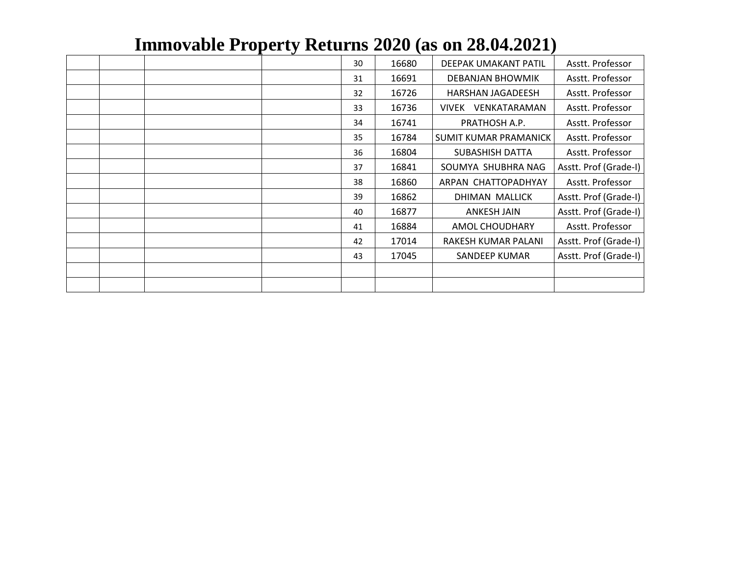|  | $\bullet$ |    |       |                       |                       |
|--|-----------|----|-------|-----------------------|-----------------------|
|  |           | 30 | 16680 | DEEPAK UMAKANT PATIL  | Asstt. Professor      |
|  |           | 31 | 16691 | DEBANJAN BHOWMIK      | Asstt. Professor      |
|  |           | 32 | 16726 | HARSHAN JAGADEESH     | Asstt. Professor      |
|  |           | 33 | 16736 | VIVEK VENKATARAMAN    | Asstt. Professor      |
|  |           | 34 | 16741 | PRATHOSH A.P.         | Asstt. Professor      |
|  |           | 35 | 16784 | SUMIT KUMAR PRAMANICK | Asstt. Professor      |
|  |           | 36 | 16804 | SUBASHISH DATTA       | Asstt. Professor      |
|  |           | 37 | 16841 | SOUMYA SHUBHRA NAG    | Asstt. Prof (Grade-I) |
|  |           | 38 | 16860 | ARPAN CHATTOPADHYAY   | Asstt. Professor      |
|  |           | 39 | 16862 | DHIMAN MALLICK        | Asstt. Prof (Grade-I) |
|  |           | 40 | 16877 | ANKESH JAIN           | Asstt. Prof (Grade-I) |
|  |           | 41 | 16884 | AMOL CHOUDHARY        | Asstt. Professor      |
|  |           | 42 | 17014 | RAKESH KUMAR PALANI   | Asstt. Prof (Grade-I) |
|  |           | 43 | 17045 | <b>SANDEEP KUMAR</b>  | Asstt. Prof (Grade-I) |
|  |           |    |       |                       |                       |
|  |           |    |       |                       |                       |
|  |           |    |       |                       |                       |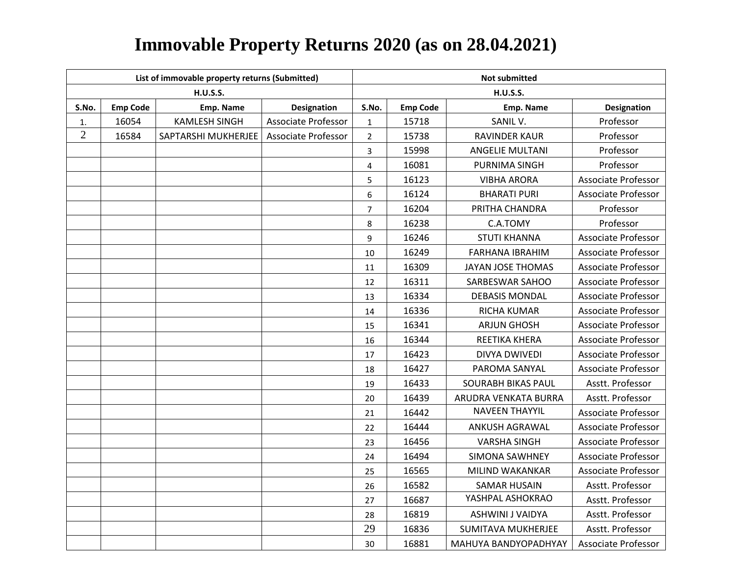|                | List of immovable property returns (Submitted) |                      |                            |                | <b>Not submitted</b> |                           |                            |  |  |  |
|----------------|------------------------------------------------|----------------------|----------------------------|----------------|----------------------|---------------------------|----------------------------|--|--|--|
|                |                                                | <b>H.U.S.S.</b>      |                            |                |                      | <b>H.U.S.S.</b>           |                            |  |  |  |
| S.No.          | <b>Emp Code</b>                                | Emp. Name            | Designation                | S.No.          | <b>Emp Code</b>      | Emp. Name                 | <b>Designation</b>         |  |  |  |
| 1.             | 16054                                          | <b>KAMLESH SINGH</b> | <b>Associate Professor</b> | $\mathbf{1}$   | 15718                | SANIL V.                  | Professor                  |  |  |  |
| $\overline{2}$ | 16584                                          | SAPTARSHI MUKHERJEE  | Associate Professor        | $\overline{2}$ | 15738                | RAVINDER KAUR             | Professor                  |  |  |  |
|                |                                                |                      |                            | 3              | 15998                | <b>ANGELIE MULTANI</b>    | Professor                  |  |  |  |
|                |                                                |                      |                            | $\overline{4}$ | 16081                | PURNIMA SINGH             | Professor                  |  |  |  |
|                |                                                |                      |                            | 5              | 16123                | <b>VIBHA ARORA</b>        | <b>Associate Professor</b> |  |  |  |
|                |                                                |                      |                            | 6              | 16124                | <b>BHARATI PURI</b>       | <b>Associate Professor</b> |  |  |  |
|                |                                                |                      |                            | $\overline{7}$ | 16204                | PRITHA CHANDRA            | Professor                  |  |  |  |
|                |                                                |                      |                            | 8              | 16238                | C.A.TOMY                  | Professor                  |  |  |  |
|                |                                                |                      |                            | 9              | 16246                | <b>STUTI KHANNA</b>       | Associate Professor        |  |  |  |
|                |                                                |                      |                            | 10             | 16249                | FARHANA IBRAHIM           | <b>Associate Professor</b> |  |  |  |
|                |                                                |                      |                            | 11             | 16309                | JAYAN JOSE THOMAS         | Associate Professor        |  |  |  |
|                |                                                |                      |                            | 12             | 16311                | SARBESWAR SAHOO           | <b>Associate Professor</b> |  |  |  |
|                |                                                |                      |                            | 13             | 16334                | <b>DEBASIS MONDAL</b>     | Associate Professor        |  |  |  |
|                |                                                |                      |                            | 14             | 16336                | RICHA KUMAR               | <b>Associate Professor</b> |  |  |  |
|                |                                                |                      |                            | 15             | 16341                | <b>ARJUN GHOSH</b>        | <b>Associate Professor</b> |  |  |  |
|                |                                                |                      |                            | 16             | 16344                | REETIKA KHERA             | Associate Professor        |  |  |  |
|                |                                                |                      |                            | 17             | 16423                | DIVYA DWIVEDI             | <b>Associate Professor</b> |  |  |  |
|                |                                                |                      |                            | 18             | 16427                | PAROMA SANYAL             | <b>Associate Professor</b> |  |  |  |
|                |                                                |                      |                            | 19             | 16433                | SOURABH BIKAS PAUL        | Asstt. Professor           |  |  |  |
|                |                                                |                      |                            | 20             | 16439                | ARUDRA VENKATA BURRA      | Asstt. Professor           |  |  |  |
|                |                                                |                      |                            | 21             | 16442                | <b>NAVEEN THAYYIL</b>     | <b>Associate Professor</b> |  |  |  |
|                |                                                |                      |                            | 22             | 16444                | <b>ANKUSH AGRAWAL</b>     | <b>Associate Professor</b> |  |  |  |
|                |                                                |                      |                            | 23             | 16456                | <b>VARSHA SINGH</b>       | <b>Associate Professor</b> |  |  |  |
|                |                                                |                      |                            | 24             | 16494                | SIMONA SAWHNEY            | <b>Associate Professor</b> |  |  |  |
|                |                                                |                      |                            | 25             | 16565                | MILIND WAKANKAR           | <b>Associate Professor</b> |  |  |  |
|                |                                                |                      |                            | 26             | 16582                | <b>SAMAR HUSAIN</b>       | Asstt. Professor           |  |  |  |
|                |                                                |                      |                            | 27             | 16687                | YASHPAL ASHOKRAO          | Asstt. Professor           |  |  |  |
|                |                                                |                      |                            | 28             | 16819                | <b>ASHWINI J VAIDYA</b>   | Asstt. Professor           |  |  |  |
|                |                                                |                      |                            | 29             | 16836                | <b>SUMITAVA MUKHERJEE</b> | Asstt. Professor           |  |  |  |
|                |                                                |                      |                            | 30             | 16881                | MAHUYA BANDYOPADHYAY      | <b>Associate Professor</b> |  |  |  |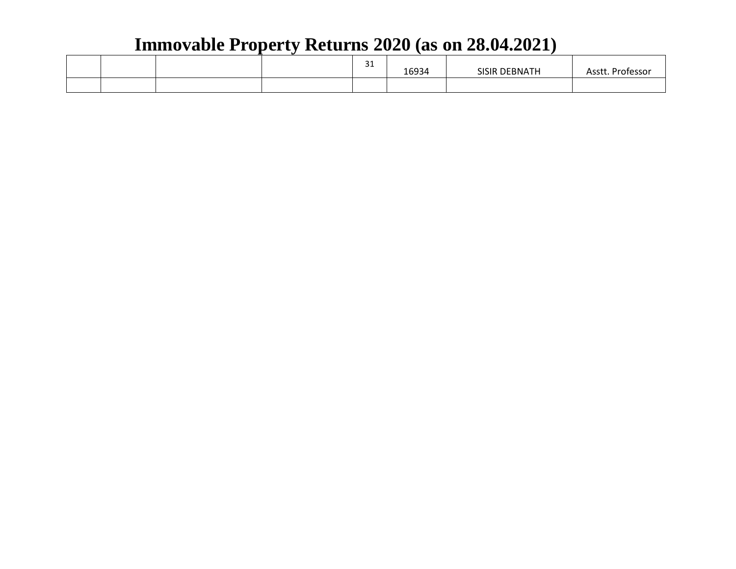|  |  | $\sim$ $\sim$<br>ــر | 16934 | <b>OFBNATH</b><br><b>SISIR</b> | ۰– ۸<br>. Professor<br>าววเ |
|--|--|----------------------|-------|--------------------------------|-----------------------------|
|  |  |                      |       |                                |                             |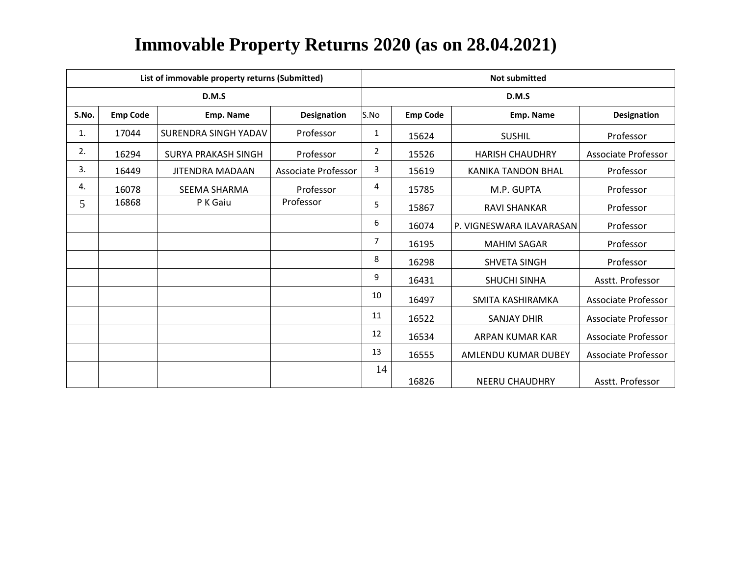|       |                 | List of immovable property returns (Submitted) |                     | <b>Not submitted</b> |                 |                           |                            |  |  |
|-------|-----------------|------------------------------------------------|---------------------|----------------------|-----------------|---------------------------|----------------------------|--|--|
|       |                 | D.M.S                                          |                     | D.M.S                |                 |                           |                            |  |  |
| S.No. | <b>Emp Code</b> | Emp. Name                                      | <b>Designation</b>  | S.No                 | <b>Emp Code</b> | Emp. Name                 | <b>Designation</b>         |  |  |
| 1.    | 17044           | SURENDRA SINGH YADAV                           | Professor           | 1                    | 15624           | <b>SUSHIL</b>             | Professor                  |  |  |
| 2.    | 16294           | SURYA PRAKASH SINGH                            | Professor           | $\overline{2}$       | 15526           | <b>HARISH CHAUDHRY</b>    | <b>Associate Professor</b> |  |  |
| 3.    | 16449           | <b>JITENDRA MADAAN</b>                         | Associate Professor | 3                    | 15619           | <b>KANIKA TANDON BHAL</b> | Professor                  |  |  |
| 4.    | 16078           | <b>SEEMA SHARMA</b>                            | Professor           | 4                    | 15785           | M.P. GUPTA                | Professor                  |  |  |
| 5     | 16868           | P K Gaiu                                       | Professor           | 5                    | 15867           | <b>RAVI SHANKAR</b>       | Professor                  |  |  |
|       |                 |                                                |                     | 6                    | 16074           | P. VIGNESWARA ILAVARASAN  | Professor                  |  |  |
|       |                 |                                                |                     | 7                    | 16195           | <b>MAHIM SAGAR</b>        | Professor                  |  |  |
|       |                 |                                                |                     | 8                    | 16298           | <b>SHVETA SINGH</b>       | Professor                  |  |  |
|       |                 |                                                |                     | 9                    | 16431           | <b>SHUCHI SINHA</b>       | Asstt. Professor           |  |  |
|       |                 |                                                |                     | 10                   | 16497           | SMITA KASHIRAMKA          | Associate Professor        |  |  |
|       |                 |                                                |                     | 11                   | 16522           | <b>SANJAY DHIR</b>        | <b>Associate Professor</b> |  |  |
|       |                 |                                                |                     | 12                   | 16534           | ARPAN KUMAR KAR           | Associate Professor        |  |  |
|       |                 |                                                |                     | 13                   | 16555           | AMLENDU KUMAR DUBEY       | <b>Associate Professor</b> |  |  |
|       |                 |                                                |                     | 14                   | 16826           | <b>NEERU CHAUDHRY</b>     | Asstt. Professor           |  |  |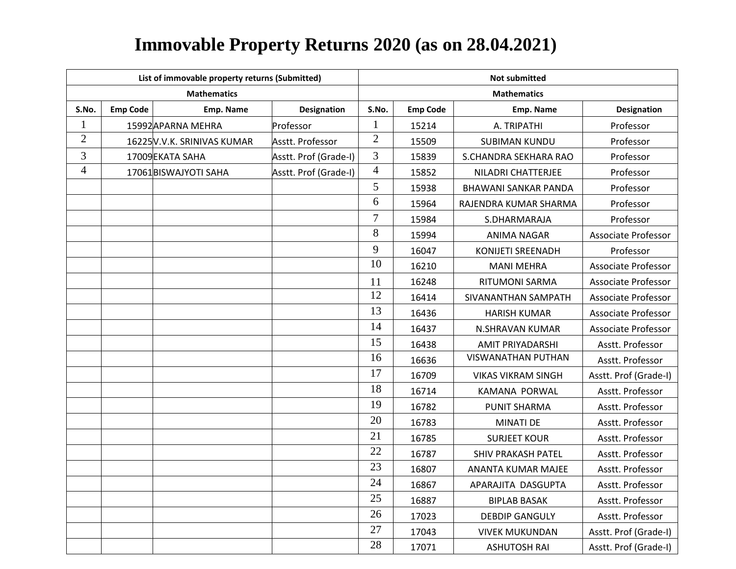|                |                 | List of immovable property returns (Submitted) |                       | <b>Not submitted</b> |                 |                             |                            |  |  |
|----------------|-----------------|------------------------------------------------|-----------------------|----------------------|-----------------|-----------------------------|----------------------------|--|--|
|                |                 | <b>Mathematics</b>                             |                       | <b>Mathematics</b>   |                 |                             |                            |  |  |
| S.No.          | <b>Emp Code</b> | Emp. Name                                      | Designation           | S.No.                | <b>Emp Code</b> | Emp. Name                   | Designation                |  |  |
| $\mathbf{1}$   |                 | 15992APARNA MEHRA                              | Professor             | $\mathbf{1}$         | 15214           | A. TRIPATHI                 | Professor                  |  |  |
| $\overline{2}$ |                 | 16225 V.V.K. SRINIVAS KUMAR                    | Asstt. Professor      | $\overline{2}$       | 15509           | <b>SUBIMAN KUNDU</b>        | Professor                  |  |  |
| $\mathfrak{Z}$ |                 | 17009EKATA SAHA                                | Asstt. Prof (Grade-I) | 3                    | 15839           | S.CHANDRA SEKHARA RAO       | Professor                  |  |  |
| $\overline{4}$ |                 | 17061BISWAJYOTI SAHA                           | Asstt. Prof (Grade-I) | $\overline{4}$       | 15852           | NILADRI CHATTERJEE          | Professor                  |  |  |
|                |                 |                                                |                       | 5                    | 15938           | <b>BHAWANI SANKAR PANDA</b> | Professor                  |  |  |
|                |                 |                                                |                       | 6                    | 15964           | RAJENDRA KUMAR SHARMA       | Professor                  |  |  |
|                |                 |                                                |                       | $\overline{7}$       | 15984           | S.DHARMARAJA                | Professor                  |  |  |
|                |                 |                                                |                       | 8                    | 15994           | <b>ANIMA NAGAR</b>          | Associate Professor        |  |  |
|                |                 |                                                |                       | 9                    | 16047           | KONIJETI SREENADH           | Professor                  |  |  |
|                |                 |                                                |                       | 10                   | 16210           | <b>MANI MEHRA</b>           | <b>Associate Professor</b> |  |  |
|                |                 |                                                |                       | 11                   | 16248           | <b>RITUMONI SARMA</b>       | <b>Associate Professor</b> |  |  |
|                |                 |                                                |                       | 12                   | 16414           | SIVANANTHAN SAMPATH         | <b>Associate Professor</b> |  |  |
|                |                 |                                                |                       | 13                   | 16436           | <b>HARISH KUMAR</b>         | <b>Associate Professor</b> |  |  |
|                |                 |                                                |                       | 14                   | 16437           | N.SHRAVAN KUMAR             | <b>Associate Professor</b> |  |  |
|                |                 |                                                |                       | 15                   | 16438           | <b>AMIT PRIYADARSHI</b>     | Asstt. Professor           |  |  |
|                |                 |                                                |                       | 16                   | 16636           | <b>VISWANATHAN PUTHAN</b>   | Asstt. Professor           |  |  |
|                |                 |                                                |                       | 17                   | 16709           | VIKAS VIKRAM SINGH          | Asstt. Prof (Grade-I)      |  |  |
|                |                 |                                                |                       | 18                   | 16714           | <b>KAMANA PORWAL</b>        | Asstt. Professor           |  |  |
|                |                 |                                                |                       | 19                   | 16782           | <b>PUNIT SHARMA</b>         | Asstt. Professor           |  |  |
|                |                 |                                                |                       | 20                   | 16783           | <b>MINATI DE</b>            | Asstt. Professor           |  |  |
|                |                 |                                                |                       | 21                   | 16785           | <b>SURJEET KOUR</b>         | Asstt. Professor           |  |  |
|                |                 |                                                |                       | 22                   | 16787           | <b>SHIV PRAKASH PATEL</b>   | Asstt. Professor           |  |  |
|                |                 |                                                |                       | 23                   | 16807           | ANANTA KUMAR MAJEE          | Asstt. Professor           |  |  |
|                |                 |                                                |                       | 24                   | 16867           | APARAJITA DASGUPTA          | Asstt. Professor           |  |  |
|                |                 |                                                |                       | 25                   | 16887           | <b>BIPLAB BASAK</b>         | Asstt. Professor           |  |  |
|                |                 |                                                |                       | 26                   | 17023           | <b>DEBDIP GANGULY</b>       | Asstt. Professor           |  |  |
|                |                 |                                                |                       | 27                   | 17043           | <b>VIVEK MUKUNDAN</b>       | Asstt. Prof (Grade-I)      |  |  |
|                |                 |                                                |                       | 28                   | 17071           | <b>ASHUTOSH RAI</b>         | Asstt. Prof (Grade-I)      |  |  |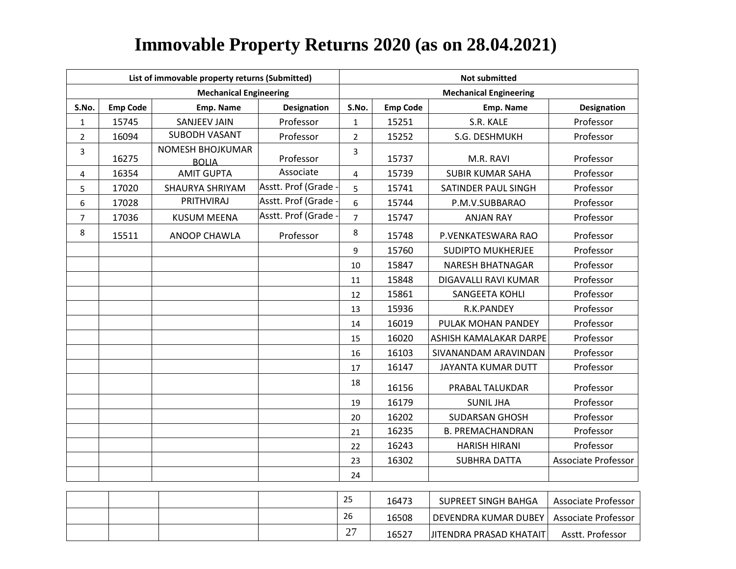|                |                 | List of immovable property returns (Submitted) |                    | <b>Not submitted</b> |                 |                               |                            |  |
|----------------|-----------------|------------------------------------------------|--------------------|----------------------|-----------------|-------------------------------|----------------------------|--|
|                |                 | <b>Mechanical Engineering</b>                  |                    |                      |                 | <b>Mechanical Engineering</b> |                            |  |
| S.No.          | <b>Emp Code</b> | Emp. Name                                      | <b>Designation</b> | S.No.                | <b>Emp Code</b> | Emp. Name                     | <b>Designation</b>         |  |
| $\mathbf{1}$   | 15745           | <b>SANJEEV JAIN</b>                            | Professor          | $\mathbf{1}$         | 15251           | S.R. KALE                     | Professor                  |  |
| $\overline{2}$ | 16094           | <b>SUBODH VASANT</b>                           | Professor          | $\overline{2}$       | 15252           | S.G. DESHMUKH                 | Professor                  |  |
| 3              | 16275           | NOMESH BHOJKUMAR<br><b>BOLIA</b>               | Professor          | 3                    | 15737           | M.R. RAVI                     | Professor                  |  |
| 4              | 16354           | <b>AMIT GUPTA</b>                              | Associate          | $\overline{4}$       | 15739           | <b>SUBIR KUMAR SAHA</b>       | Professor                  |  |
| 5              | 17020           | SHAURYA SHRIYAM                                | Asstt. Prof (Grade | 5                    | 15741           | SATINDER PAUL SINGH           | Professor                  |  |
| 6              | 17028           | PRITHVIRAJ                                     | Asstt. Prof (Grade | 6                    | 15744           | P.M.V.SUBBARAO                | Professor                  |  |
| $\overline{7}$ | 17036           | <b>KUSUM MEENA</b>                             | Asstt. Prof (Grade | $\overline{7}$       | 15747           | <b>ANJAN RAY</b>              | Professor                  |  |
| 8              | 15511           | ANOOP CHAWLA                                   | Professor          | 8                    | 15748           | P.VENKATESWARA RAO            | Professor                  |  |
|                |                 |                                                |                    | $\mathsf{q}$         | 15760           | <b>SUDIPTO MUKHERJEE</b>      | Professor                  |  |
|                |                 |                                                |                    | 10                   | 15847           | <b>NARESH BHATNAGAR</b>       | Professor                  |  |
|                |                 |                                                |                    | 11                   | 15848           | DIGAVALLI RAVI KUMAR          | Professor                  |  |
|                |                 |                                                |                    | 12                   | 15861           | SANGEETA KOHLI                | Professor                  |  |
|                |                 |                                                |                    | 13                   | 15936           | R.K.PANDEY                    | Professor                  |  |
|                |                 |                                                |                    | 14                   | 16019           | PULAK MOHAN PANDEY            | Professor                  |  |
|                |                 |                                                |                    | 15                   | 16020           | <b>ASHISH KAMALAKAR DARPE</b> | Professor                  |  |
|                |                 |                                                |                    | 16                   | 16103           | SIVANANDAM ARAVINDAN          | Professor                  |  |
|                |                 |                                                |                    | 17                   | 16147           | <b>JAYANTA KUMAR DUTT</b>     | Professor                  |  |
|                |                 |                                                |                    | 18                   | 16156           | PRABAL TALUKDAR               | Professor                  |  |
|                |                 |                                                |                    | 19                   | 16179           | <b>SUNIL JHA</b>              | Professor                  |  |
|                |                 |                                                |                    | 20                   | 16202           | <b>SUDARSAN GHOSH</b>         | Professor                  |  |
|                |                 |                                                |                    | 21                   | 16235           | <b>B. PREMACHANDRAN</b>       | Professor                  |  |
|                |                 |                                                |                    | 22                   | 16243           | <b>HARISH HIRANI</b>          | Professor                  |  |
|                |                 |                                                |                    | 23                   | 16302           | <b>SUBHRA DATTA</b>           | <b>Associate Professor</b> |  |
|                |                 |                                                |                    | 24                   |                 |                               |                            |  |
|                |                 |                                                |                    |                      |                 |                               |                            |  |

|  |  | つに<br>ر ے                          | 16473 | SUPREET SINGH BAHGA                        | Associate Professor |
|--|--|------------------------------------|-------|--------------------------------------------|---------------------|
|  |  | 26                                 | 16508 | DEVENDRA KUMAR DUBEY   Associate Professor |                     |
|  |  | $\sim$<br>$\overline{\phantom{0}}$ | 16527 | <b>JITENDRA PRASAD KHATAIT</b>             | Asstt. Professor    |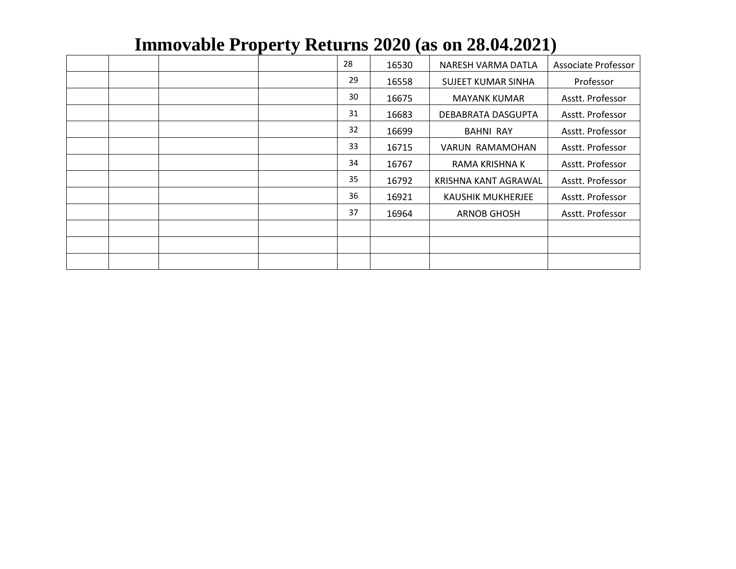|  |  | 28 | 16530 | NARESH VARMA DATLA   | Associate Professor |
|--|--|----|-------|----------------------|---------------------|
|  |  | 29 | 16558 | SUJEET KUMAR SINHA   | Professor           |
|  |  | 30 | 16675 | <b>MAYANK KUMAR</b>  | Asstt. Professor    |
|  |  | 31 | 16683 | DEBABRATA DASGUPTA   | Asstt. Professor    |
|  |  | 32 | 16699 | <b>BAHNI RAY</b>     | Asstt. Professor    |
|  |  | 33 | 16715 | VARUN RAMAMOHAN      | Asstt. Professor    |
|  |  | 34 | 16767 | RAMA KRISHNA K       | Asstt. Professor    |
|  |  | 35 | 16792 | KRISHNA KANT AGRAWAL | Asstt. Professor    |
|  |  | 36 | 16921 | KAUSHIK MUKHERJEE    | Asstt. Professor    |
|  |  | 37 | 16964 | <b>ARNOB GHOSH</b>   | Asstt. Professor    |
|  |  |    |       |                      |                     |
|  |  |    |       |                      |                     |
|  |  |    |       |                      |                     |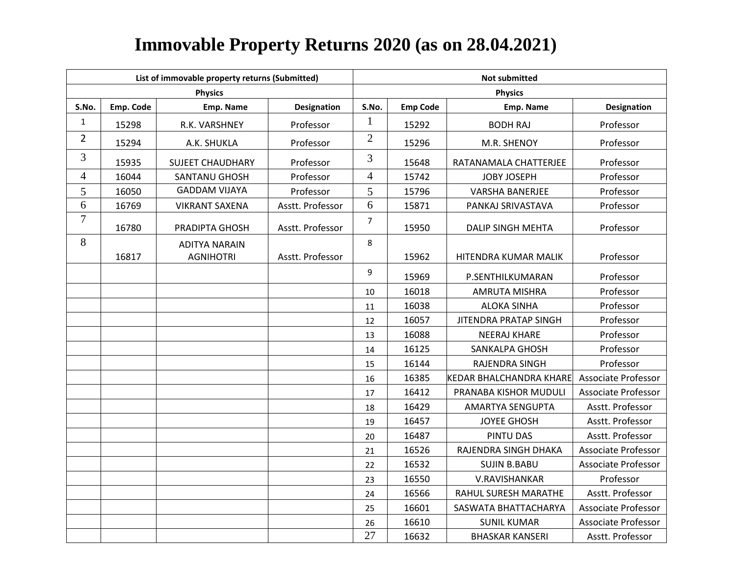|                |           | List of immovable property returns (Submitted) |                    |                |                 | <b>Not submitted</b>         |                            |
|----------------|-----------|------------------------------------------------|--------------------|----------------|-----------------|------------------------------|----------------------------|
|                |           | <b>Physics</b>                                 |                    |                |                 | <b>Physics</b>               |                            |
| S.No.          | Emp. Code | Emp. Name                                      | <b>Designation</b> | S.No.          | <b>Emp Code</b> | Emp. Name                    | Designation                |
| $\mathbf{1}$   | 15298     | R.K. VARSHNEY                                  | Professor          | $\mathbf{1}$   | 15292           | <b>BODH RAJ</b>              | Professor                  |
| $\overline{2}$ | 15294     | A.K. SHUKLA                                    | Professor          | $\overline{2}$ | 15296           | M.R. SHENOY                  | Professor                  |
| 3              | 15935     | <b>SUJEET CHAUDHARY</b>                        | Professor          | 3              | 15648           | RATANAMALA CHATTERJEE        | Professor                  |
| 4              | 16044     | SANTANU GHOSH                                  | Professor          | $\overline{4}$ | 15742           | <b>JOBY JOSEPH</b>           | Professor                  |
| 5              | 16050     | <b>GADDAM VIJAYA</b>                           | Professor          | 5              | 15796           | <b>VARSHA BANERJEE</b>       | Professor                  |
| 6              | 16769     | <b>VIKRANT SAXENA</b>                          | Asstt. Professor   | 6              | 15871           | PANKAJ SRIVASTAVA            | Professor                  |
| $\overline{7}$ | 16780     | PRADIPTA GHOSH                                 | Asstt. Professor   | $\overline{7}$ | 15950           | DALIP SINGH MEHTA            | Professor                  |
| 8              |           | <b>ADITYA NARAIN</b>                           |                    | 8              |                 |                              |                            |
|                | 16817     | <b>AGNIHOTRI</b>                               | Asstt. Professor   |                | 15962           | HITENDRA KUMAR MALIK         | Professor                  |
|                |           |                                                |                    | 9              | 15969           | P.SENTHILKUMARAN             | Professor                  |
|                |           |                                                |                    | 10             | 16018           | AMRUTA MISHRA                | Professor                  |
|                |           |                                                |                    | 11             | 16038           | <b>ALOKA SINHA</b>           | Professor                  |
|                |           |                                                |                    | 12             | 16057           | <b>JITENDRA PRATAP SINGH</b> | Professor                  |
|                |           |                                                |                    | 13             | 16088           | <b>NEERAJ KHARE</b>          | Professor                  |
|                |           |                                                |                    | 14             | 16125           | <b>SANKALPA GHOSH</b>        | Professor                  |
|                |           |                                                |                    | 15             | 16144           | <b>RAJENDRA SINGH</b>        | Professor                  |
|                |           |                                                |                    | 16             | 16385           | KEDAR BHALCHANDRA KHARE      | <b>Associate Professor</b> |
|                |           |                                                |                    | 17             | 16412           | PRANABA KISHOR MUDULI        | <b>Associate Professor</b> |
|                |           |                                                |                    | 18             | 16429           | AMARTYA SENGUPTA             | Asstt. Professor           |
|                |           |                                                |                    | 19             | 16457           | <b>JOYEE GHOSH</b>           | Asstt. Professor           |
|                |           |                                                |                    | 20             | 16487           | PINTU DAS                    | Asstt. Professor           |
|                |           |                                                |                    | 21             | 16526           | RAJENDRA SINGH DHAKA         | <b>Associate Professor</b> |
|                |           |                                                |                    | 22             | 16532           | <b>SUJIN B.BABU</b>          | <b>Associate Professor</b> |
|                |           |                                                |                    | 23             | 16550           | V.RAVISHANKAR                | Professor                  |
|                |           |                                                |                    | 24             | 16566           | RAHUL SURESH MARATHE         | Asstt. Professor           |
|                |           |                                                |                    | 25             | 16601           | SASWATA BHATTACHARYA         | <b>Associate Professor</b> |
|                |           |                                                |                    | 26             | 16610           | <b>SUNIL KUMAR</b>           | <b>Associate Professor</b> |
|                |           |                                                |                    | 27             | 16632           | <b>BHASKAR KANSERI</b>       | Asstt. Professor           |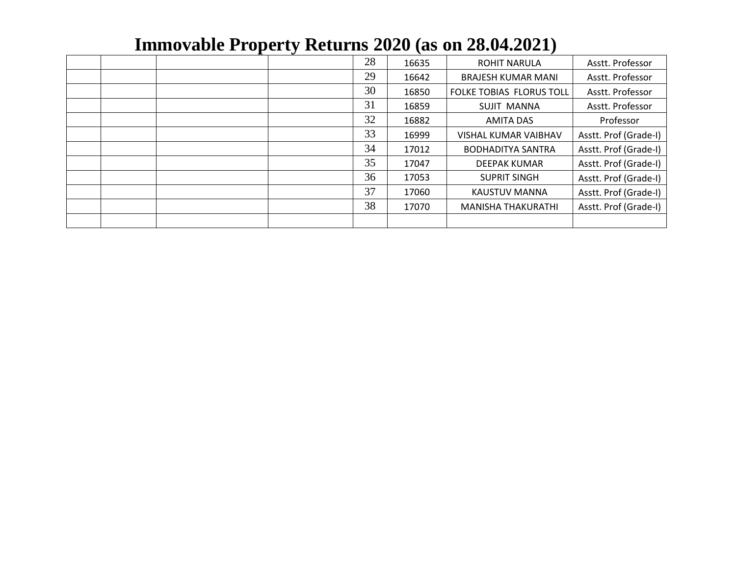|  |  | 28 | 16635 | <b>ROHIT NARULA</b>         | Asstt. Professor      |
|--|--|----|-------|-----------------------------|-----------------------|
|  |  | 29 | 16642 | <b>BRAJESH KUMAR MANI</b>   | Asstt. Professor      |
|  |  | 30 | 16850 | FOLKE TOBIAS FLORUS TOLL    | Asstt. Professor      |
|  |  | 31 | 16859 | <b>SUJIT MANNA</b>          | Asstt. Professor      |
|  |  | 32 | 16882 | <b>AMITA DAS</b>            | Professor             |
|  |  | 33 | 16999 | <b>VISHAL KUMAR VAIBHAV</b> | Asstt. Prof (Grade-I) |
|  |  | 34 | 17012 | <b>BODHADITYA SANTRA</b>    | Asstt. Prof (Grade-I) |
|  |  | 35 | 17047 | <b>DEEPAK KUMAR</b>         | Asstt. Prof (Grade-I) |
|  |  | 36 | 17053 | <b>SUPRIT SINGH</b>         | Asstt. Prof (Grade-I) |
|  |  | 37 | 17060 | <b>KAUSTUV MANNA</b>        | Asstt. Prof (Grade-I) |
|  |  | 38 | 17070 | <b>MANISHA THAKURATHI</b>   | Asstt. Prof (Grade-I) |
|  |  |    |       |                             |                       |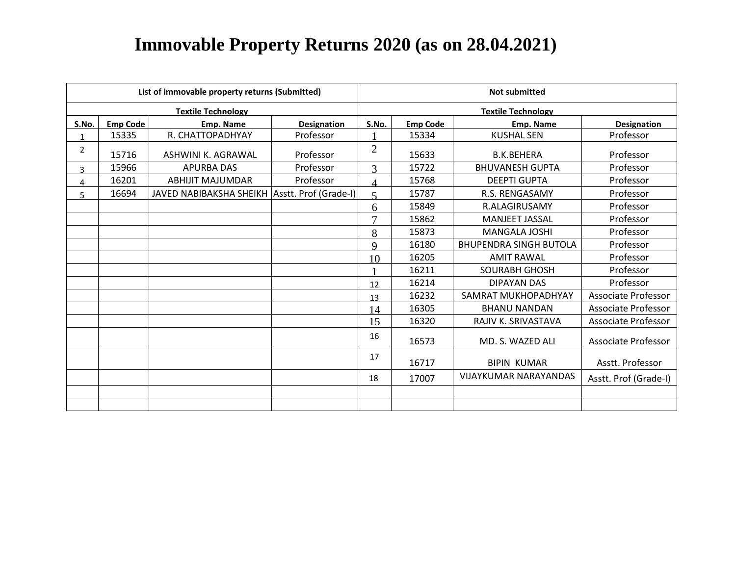|       |                 | List of immovable property returns (Submitted) |                       |                           |                 | <b>Not submitted</b>          |                            |  |  |
|-------|-----------------|------------------------------------------------|-----------------------|---------------------------|-----------------|-------------------------------|----------------------------|--|--|
|       |                 | <b>Textile Technology</b>                      |                       | <b>Textile Technology</b> |                 |                               |                            |  |  |
| S.No. | <b>Emp Code</b> | Emp. Name                                      | <b>Designation</b>    | S.No.                     | <b>Emp Code</b> | <b>Emp. Name</b>              | <b>Designation</b>         |  |  |
|       | 15335           | R. CHATTOPADHYAY                               | Professor             |                           | 15334           | <b>KUSHAL SEN</b>             | Professor                  |  |  |
| 2     | 15716           | ASHWINI K. AGRAWAL                             | Professor             | $\overline{2}$            | 15633           | <b>B.K.BEHERA</b>             | Professor                  |  |  |
| 3     | 15966           | <b>APURBA DAS</b>                              | Professor             | 3                         | 15722           | <b>BHUVANESH GUPTA</b>        | Professor                  |  |  |
| 4     | 16201           | <b>ABHIJIT MAJUMDAR</b>                        | Professor             | $\Delta$                  | 15768           | <b>DEEPTI GUPTA</b>           | Professor                  |  |  |
| 5     | 16694           | JAVED NABIBAKSHA SHEIKH                        | Asstt. Prof (Grade-I) | $\leq$                    | 15787           | R.S. RENGASAMY                | Professor                  |  |  |
|       |                 |                                                |                       | 6                         | 15849           | <b>R.ALAGIRUSAMY</b>          | Professor                  |  |  |
|       |                 |                                                |                       | $\mathbf{z}$              | 15862           | MANJEET JASSAL                | Professor                  |  |  |
|       |                 |                                                |                       | 8                         | 15873           | <b>MANGALA JOSHI</b>          | Professor                  |  |  |
|       |                 |                                                |                       | $\mathbf Q$               | 16180           | <b>BHUPENDRA SINGH BUTOLA</b> | Professor                  |  |  |
|       |                 |                                                |                       | 10                        | 16205           | <b>AMIT RAWAL</b>             | Professor                  |  |  |
|       |                 |                                                |                       |                           | 16211           | <b>SOURABH GHOSH</b>          | Professor                  |  |  |
|       |                 |                                                |                       | 12                        | 16214           | <b>DIPAYAN DAS</b>            | Professor                  |  |  |
|       |                 |                                                |                       | 13                        | 16232           | SAMRAT MUKHOPADHYAY           | <b>Associate Professor</b> |  |  |
|       |                 |                                                |                       | 14                        | 16305           | <b>BHANU NANDAN</b>           | <b>Associate Professor</b> |  |  |
|       |                 |                                                |                       | 15                        | 16320           | RAJIV K. SRIVASTAVA           | <b>Associate Professor</b> |  |  |
|       |                 |                                                |                       | 16                        | 16573           | MD. S. WAZED ALI              | <b>Associate Professor</b> |  |  |
|       |                 |                                                |                       | 17                        | 16717           | <b>BIPIN KUMAR</b>            | Asstt. Professor           |  |  |
|       |                 |                                                |                       | 18                        | 17007           | <b>VIJAYKUMAR NARAYANDAS</b>  | Asstt. Prof (Grade-I)      |  |  |
|       |                 |                                                |                       |                           |                 |                               |                            |  |  |
|       |                 |                                                |                       |                           |                 |                               |                            |  |  |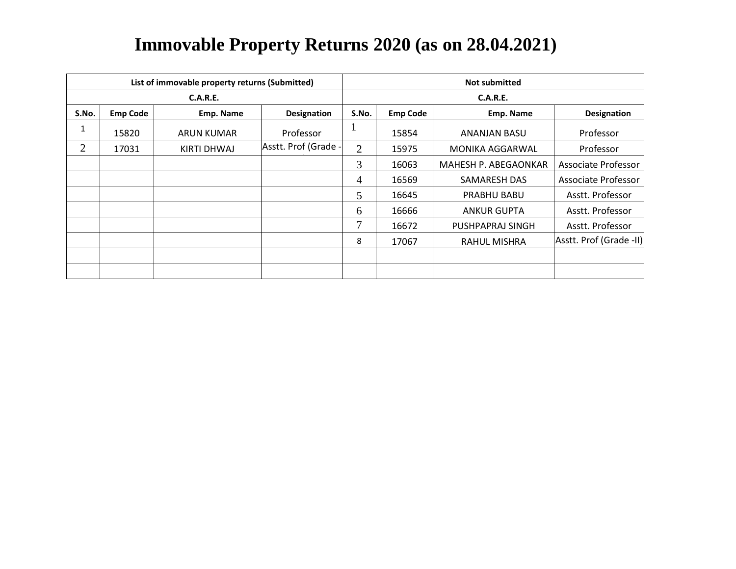|       |                 | List of immovable property returns (Submitted) |                      | <b>Not submitted</b> |                 |                      |                         |  |  |
|-------|-----------------|------------------------------------------------|----------------------|----------------------|-----------------|----------------------|-------------------------|--|--|
|       |                 | <b>C.A.R.E.</b>                                |                      | <b>C.A.R.E.</b>      |                 |                      |                         |  |  |
| S.No. | <b>Emp Code</b> | Emp. Name                                      | <b>Designation</b>   | S.No.                | <b>Emp Code</b> | Emp. Name            | <b>Designation</b>      |  |  |
| 1     | 15820           | ARUN KUMAR                                     | Professor            |                      | 15854           | ANANJAN BASU         | Professor               |  |  |
| 2     | 17031           | KIRTI DHWAJ                                    | Asstt. Prof (Grade - | $\overline{2}$       | 15975           | MONIKA AGGARWAL      | Professor               |  |  |
|       |                 |                                                |                      | 3                    | 16063           | MAHESH P. ABEGAONKAR | Associate Professor     |  |  |
|       |                 |                                                |                      | 4                    | 16569           | SAMARESH DAS         | Associate Professor     |  |  |
|       |                 |                                                |                      | 5                    | 16645           | PRABHU BABU          | Asstt. Professor        |  |  |
|       |                 |                                                |                      | 6                    | 16666           | <b>ANKUR GUPTA</b>   | Asstt. Professor        |  |  |
|       |                 |                                                |                      | 7                    | 16672           | PUSHPAPRAJ SINGH     | Asstt. Professor        |  |  |
|       |                 |                                                |                      | 8                    | 17067           | RAHUL MISHRA         | Asstt. Prof (Grade -II) |  |  |
|       |                 |                                                |                      |                      |                 |                      |                         |  |  |
|       |                 |                                                |                      |                      |                 |                      |                         |  |  |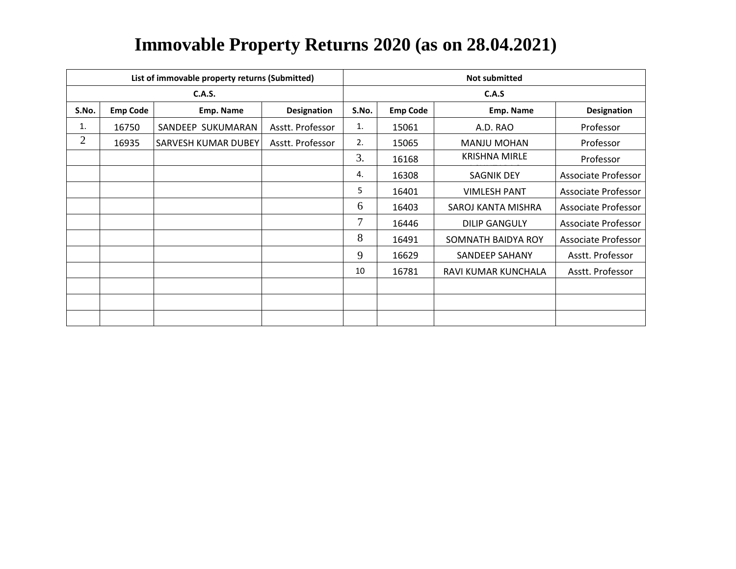|       |                 | List of immovable property returns (Submitted) |                    |       |                 | <b>Not submitted</b>  |                     |  |  |
|-------|-----------------|------------------------------------------------|--------------------|-------|-----------------|-----------------------|---------------------|--|--|
|       |                 | C.A.S.                                         |                    | C.A.S |                 |                       |                     |  |  |
| S.No. | <b>Emp Code</b> | Emp. Name                                      | <b>Designation</b> | S.No. | <b>Emp Code</b> | Emp. Name             | <b>Designation</b>  |  |  |
| 1.    | 16750           | SANDEEP SUKUMARAN                              | Asstt. Professor   | 1.    | 15061           | A.D. RAO              | Professor           |  |  |
| 2     | 16935           | <b>SARVESH KUMAR DUBEY</b>                     | Asstt. Professor   | 2.    | 15065           | <b>MANJU MOHAN</b>    | Professor           |  |  |
|       |                 |                                                |                    | 3.    | 16168           | <b>KRISHNA MIRLE</b>  | Professor           |  |  |
|       |                 |                                                |                    | 4.    | 16308           | SAGNIK DEY            | Associate Professor |  |  |
|       |                 |                                                |                    | 5     | 16401           | <b>VIMLESH PANT</b>   | Associate Professor |  |  |
|       |                 |                                                |                    | 6     | 16403           | SAROJ KANTA MISHRA    | Associate Professor |  |  |
|       |                 |                                                |                    | 7     | 16446           | <b>DILIP GANGULY</b>  | Associate Professor |  |  |
|       |                 |                                                |                    | 8     | 16491           | SOMNATH BAIDYA ROY    | Associate Professor |  |  |
|       |                 |                                                |                    | 9     | 16629           | <b>SANDEEP SAHANY</b> | Asstt. Professor    |  |  |
|       |                 |                                                |                    | 10    | 16781           | RAVI KUMAR KUNCHALA   | Asstt. Professor    |  |  |
|       |                 |                                                |                    |       |                 |                       |                     |  |  |
|       |                 |                                                |                    |       |                 |                       |                     |  |  |
|       |                 |                                                |                    |       |                 |                       |                     |  |  |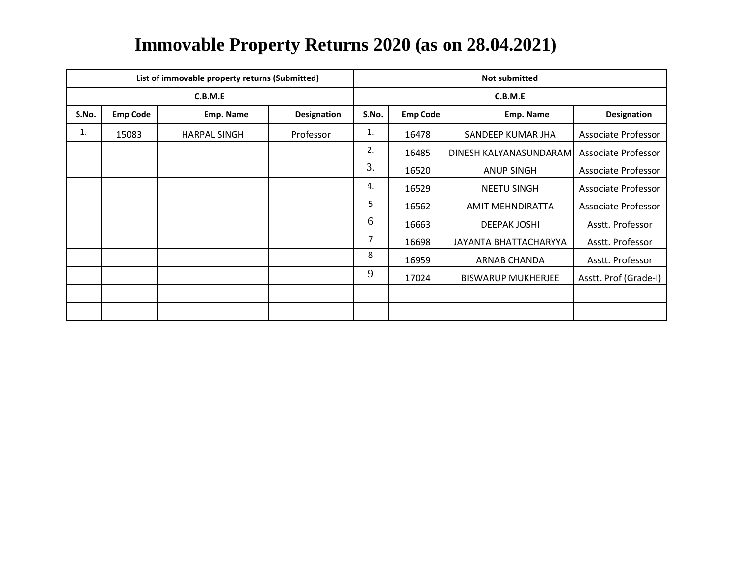|       |                 | List of immovable property returns (Submitted) |             |         |                 | <b>Not submitted</b>      |                            |  |  |
|-------|-----------------|------------------------------------------------|-------------|---------|-----------------|---------------------------|----------------------------|--|--|
|       |                 | C.B.M.E                                        |             | C.B.M.E |                 |                           |                            |  |  |
| S.No. | <b>Emp Code</b> | Emp. Name                                      | Designation | S.No.   | <b>Emp Code</b> | Emp. Name                 | Designation                |  |  |
| 1.    | 15083           | <b>HARPAL SINGH</b>                            | Professor   | 1.      | 16478           | SANDEEP KUMAR JHA         | Associate Professor        |  |  |
|       |                 |                                                |             | 2.      | 16485           | DINESH KALYANASUNDARAM    | Associate Professor        |  |  |
|       |                 |                                                |             | 3.      | 16520           | <b>ANUP SINGH</b>         | <b>Associate Professor</b> |  |  |
|       |                 |                                                |             | 4.      | 16529           | <b>NEETU SINGH</b>        | Associate Professor        |  |  |
|       |                 |                                                |             | 5       | 16562           | AMIT MEHNDIRATTA          | Associate Professor        |  |  |
|       |                 |                                                |             | 6       | 16663           | <b>DEEPAK JOSHI</b>       | Asstt. Professor           |  |  |
|       |                 |                                                |             | 7       | 16698           | JAYANTA BHATTACHARYYA     | Asstt. Professor           |  |  |
|       |                 |                                                |             | 8       | 16959           | ARNAB CHANDA              | Asstt. Professor           |  |  |
|       |                 |                                                |             | 9       | 17024           | <b>BISWARUP MUKHERJEE</b> | Asstt. Prof (Grade-I)      |  |  |
|       |                 |                                                |             |         |                 |                           |                            |  |  |
|       |                 |                                                |             |         |                 |                           |                            |  |  |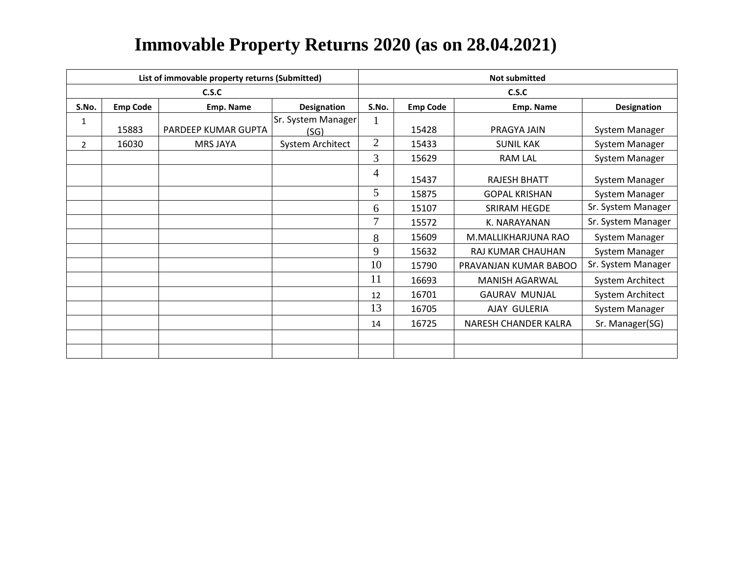|                |                 | List of immovable property returns (Submitted) |                            | <b>Not submitted</b> |                 |                       |                       |  |  |
|----------------|-----------------|------------------------------------------------|----------------------------|----------------------|-----------------|-----------------------|-----------------------|--|--|
|                |                 | C.S.C                                          |                            |                      |                 | C.S.C                 |                       |  |  |
| S.No.          | <b>Emp Code</b> | Emp. Name                                      | Designation                | S.No.                | <b>Emp Code</b> | Emp. Name             | Designation           |  |  |
| 1              | 15883           | PARDEEP KUMAR GUPTA                            | Sr. System Manager<br>(SG) | $\mathbf{I}$         | 15428           | PRAGYA JAIN           | <b>System Manager</b> |  |  |
| $\overline{2}$ | 16030           | <b>MRS JAYA</b>                                | System Architect           | $\overline{2}$       | 15433           | <b>SUNIL KAK</b>      | System Manager        |  |  |
|                |                 |                                                |                            | 3                    | 15629           | <b>RAM LAL</b>        | System Manager        |  |  |
|                |                 |                                                |                            | 4                    | 15437           | <b>RAJESH BHATT</b>   | <b>System Manager</b> |  |  |
|                |                 |                                                |                            | 5                    | 15875           | <b>GOPAL KRISHAN</b>  | System Manager        |  |  |
|                |                 |                                                |                            | 6                    | 15107           | SRIRAM HEGDE          | Sr. System Manager    |  |  |
|                |                 |                                                |                            | 7                    | 15572           | K. NARAYANAN          | Sr. System Manager    |  |  |
|                |                 |                                                |                            | 8                    | 15609           | M.MALLIKHARJUNA RAO   | System Manager        |  |  |
|                |                 |                                                |                            | 9                    | 15632           | RAJ KUMAR CHAUHAN     | System Manager        |  |  |
|                |                 |                                                |                            | 10                   | 15790           | PRAVANJAN KUMAR BABOO | Sr. System Manager    |  |  |
|                |                 |                                                |                            | 11                   | 16693           | <b>MANISH AGARWAL</b> | System Architect      |  |  |
|                |                 |                                                |                            | 12                   | 16701           | <b>GAURAV MUNJAL</b>  | System Architect      |  |  |
|                |                 |                                                |                            | 13                   | 16705           | AJAY GULERIA          | System Manager        |  |  |
|                |                 |                                                |                            | 14                   | 16725           | NARESH CHANDER KALRA  | Sr. Manager(SG)       |  |  |
|                |                 |                                                |                            |                      |                 |                       |                       |  |  |
|                |                 |                                                |                            |                      |                 |                       |                       |  |  |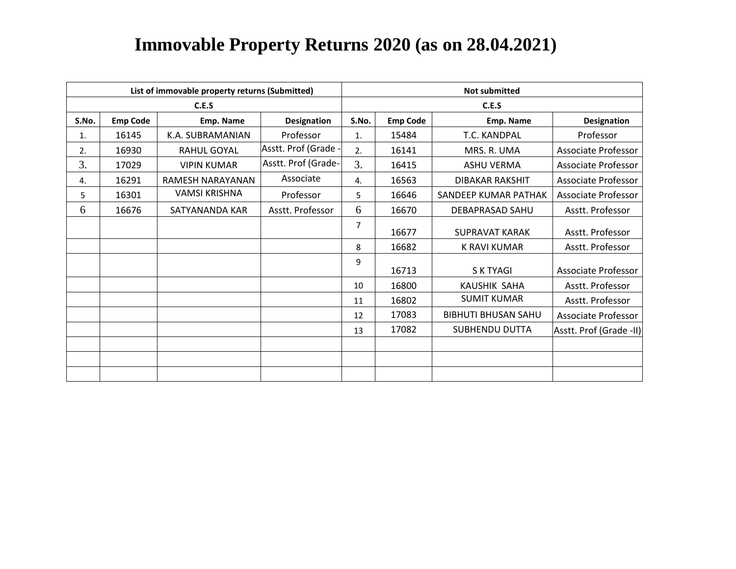| List of immovable property returns (Submitted) |                 |                      |                      |       | <b>Not submitted</b> |                            |                            |  |  |
|------------------------------------------------|-----------------|----------------------|----------------------|-------|----------------------|----------------------------|----------------------------|--|--|
|                                                |                 | C.E.S                |                      | C.E.S |                      |                            |                            |  |  |
| S.No.                                          | <b>Emp Code</b> | Emp. Name            | Designation          | S.No. | <b>Emp Code</b>      | Emp. Name                  | Designation                |  |  |
| 1.                                             | 16145           | K.A. SUBRAMANIAN     | Professor            | 1.    | 15484                | T.C. KANDPAL               | Professor                  |  |  |
| 2.                                             | 16930           | RAHUL GOYAL          | Asstt. Prof (Grade - | 2.    | 16141                | MRS. R. UMA                | <b>Associate Professor</b> |  |  |
| 3.                                             | 17029           | <b>VIPIN KUMAR</b>   | Asstt. Prof (Grade-  | 3.    | 16415                | <b>ASHU VERMA</b>          | Associate Professor        |  |  |
| 4.                                             | 16291           | RAMESH NARAYANAN     | Associate            | 4.    | 16563                | <b>DIBAKAR RAKSHIT</b>     | Associate Professor        |  |  |
| 5                                              | 16301           | <b>VAMSI KRISHNA</b> | Professor            | 5     | 16646                | SANDEEP KUMAR PATHAK       | <b>Associate Professor</b> |  |  |
| 6                                              | 16676           | SATYANANDA KAR       | Asstt. Professor     | 6     | 16670                | DEBAPRASAD SAHU            | Asstt. Professor           |  |  |
|                                                |                 |                      |                      | 7     | 16677                | <b>SUPRAVAT KARAK</b>      | Asstt. Professor           |  |  |
|                                                |                 |                      |                      | 8     | 16682                | <b>K RAVI KUMAR</b>        | Asstt. Professor           |  |  |
|                                                |                 |                      |                      | 9     | 16713                | S K TYAGI                  | Associate Professor        |  |  |
|                                                |                 |                      |                      | 10    | 16800                | KAUSHIK SAHA               | Asstt. Professor           |  |  |
|                                                |                 |                      |                      | 11    | 16802                | <b>SUMIT KUMAR</b>         | Asstt. Professor           |  |  |
|                                                |                 |                      |                      | 12    | 17083                | <b>BIBHUTI BHUSAN SAHU</b> | Associate Professor        |  |  |
|                                                |                 |                      |                      | 13    | 17082                | SUBHENDU DUTTA             | Asstt. Prof (Grade -II)    |  |  |
|                                                |                 |                      |                      |       |                      |                            |                            |  |  |
|                                                |                 |                      |                      |       |                      |                            |                            |  |  |
|                                                |                 |                      |                      |       |                      |                            |                            |  |  |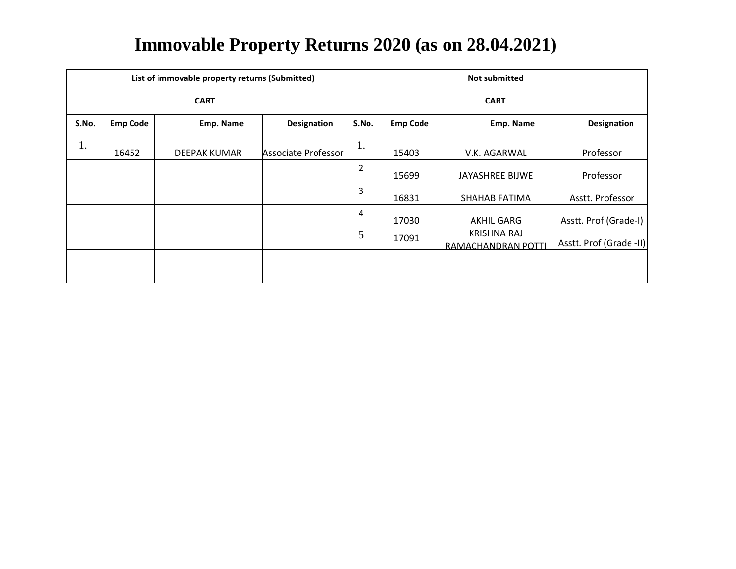|             | List of immovable property returns (Submitted) |              |                     |                |                 | <b>Not submitted</b>                     |                         |
|-------------|------------------------------------------------|--------------|---------------------|----------------|-----------------|------------------------------------------|-------------------------|
| <b>CART</b> |                                                |              |                     |                |                 | <b>CART</b>                              |                         |
| S.No.       | <b>Emp Code</b>                                | Emp. Name    | <b>Designation</b>  | S.No.          | <b>Emp Code</b> | Emp. Name                                | <b>Designation</b>      |
| 1.          | 16452                                          | DEEPAK KUMAR | Associate Professor | 1.             | 15403           | V.K. AGARWAL                             | Professor               |
|             |                                                |              |                     | $\overline{2}$ | 15699           | JAYASHREE BIJWE                          | Professor               |
|             |                                                |              |                     | 3              | 16831           | SHAHAB FATIMA                            | Asstt. Professor        |
|             |                                                |              |                     | 4              | 17030           | AKHIL GARG                               | Asstt. Prof (Grade-I)   |
|             |                                                |              |                     | 5              | 17091           | <b>KRISHNA RAJ</b><br>RAMACHANDRAN POTTI | Asstt. Prof (Grade -II) |
|             |                                                |              |                     |                |                 |                                          |                         |
|             |                                                |              |                     |                |                 |                                          |                         |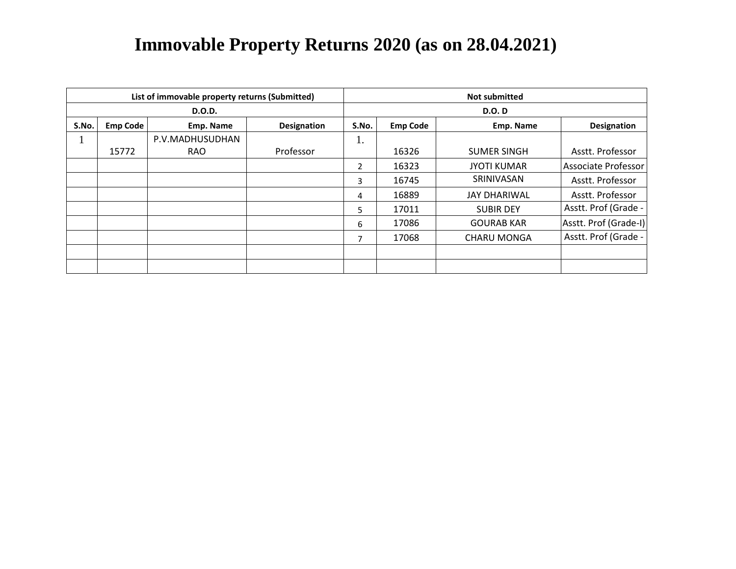|               |                 | List of immovable property returns (Submitted) |                    | <b>Not submitted</b> |                 |                     |                       |  |  |
|---------------|-----------------|------------------------------------------------|--------------------|----------------------|-----------------|---------------------|-----------------------|--|--|
| <b>D.O.D.</b> |                 |                                                |                    |                      | <b>D.O. D</b>   |                     |                       |  |  |
| S.No.         | <b>Emp Code</b> | Emp. Name                                      | <b>Designation</b> | S.No.                | <b>Emp Code</b> | Emp. Name           | <b>Designation</b>    |  |  |
|               |                 | P.V.MADHUSUDHAN                                |                    | 1.                   |                 |                     |                       |  |  |
|               | 15772           | <b>RAO</b>                                     | Professor          |                      | 16326           | <b>SUMER SINGH</b>  | Asstt. Professor      |  |  |
|               |                 |                                                |                    | $\mathbf{2}$         | 16323           | <b>JYOTI KUMAR</b>  | Associate Professor   |  |  |
|               |                 |                                                |                    | 3                    | 16745           | SRINIVASAN          | Asstt. Professor      |  |  |
|               |                 |                                                |                    | 4                    | 16889           | <b>JAY DHARIWAL</b> | Asstt. Professor      |  |  |
|               |                 |                                                |                    | 5.                   | 17011           | <b>SUBIR DEY</b>    | Asstt. Prof (Grade -  |  |  |
|               |                 |                                                |                    | 6                    | 17086           | <b>GOURAB KAR</b>   | Asstt. Prof (Grade-I) |  |  |
|               |                 |                                                |                    | $\overline{ }$       | 17068           | <b>CHARU MONGA</b>  | Asstt. Prof (Grade -  |  |  |
|               |                 |                                                |                    |                      |                 |                     |                       |  |  |
|               |                 |                                                |                    |                      |                 |                     |                       |  |  |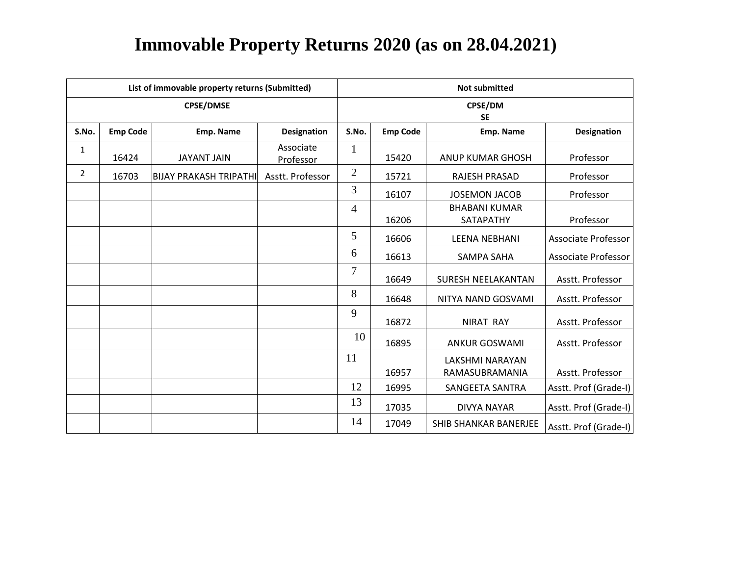| List of immovable property returns (Submitted) |                 |                               |                        |                      | <b>Not submitted</b> |                                   |                            |  |  |
|------------------------------------------------|-----------------|-------------------------------|------------------------|----------------------|----------------------|-----------------------------------|----------------------------|--|--|
|                                                |                 | <b>CPSE/DMSE</b>              |                        | CPSE/DM<br><b>SE</b> |                      |                                   |                            |  |  |
| S.No.                                          | <b>Emp Code</b> | <b>Emp. Name</b>              | <b>Designation</b>     | S.No.                | <b>Emp Code</b>      | Emp. Name                         | <b>Designation</b>         |  |  |
| $\mathbf 1$                                    | 16424           | <b>JAYANT JAIN</b>            | Associate<br>Professor | $\mathbf{1}$         | 15420                | <b>ANUP KUMAR GHOSH</b>           | Professor                  |  |  |
| $\overline{2}$                                 | 16703           | <b>BIJAY PRAKASH TRIPATHI</b> | Asstt. Professor       | $\overline{2}$       | 15721                | RAJESH PRASAD                     | Professor                  |  |  |
|                                                |                 |                               |                        | 3                    | 16107                | <b>JOSEMON JACOB</b>              | Professor                  |  |  |
|                                                |                 |                               |                        | 4                    | 16206                | <b>BHABANI KUMAR</b><br>SATAPATHY | Professor                  |  |  |
|                                                |                 |                               |                        | 5                    | 16606                | <b>LEENA NEBHANI</b>              | Associate Professor        |  |  |
|                                                |                 |                               |                        | 6                    | 16613                | <b>SAMPA SAHA</b>                 | <b>Associate Professor</b> |  |  |
|                                                |                 |                               |                        | 7                    | 16649                | <b>SURESH NEELAKANTAN</b>         | Asstt. Professor           |  |  |
|                                                |                 |                               |                        | 8                    | 16648                | NITYA NAND GOSVAMI                | Asstt. Professor           |  |  |
|                                                |                 |                               |                        | 9                    | 16872                | <b>NIRAT RAY</b>                  | Asstt. Professor           |  |  |
|                                                |                 |                               |                        | 10                   | 16895                | <b>ANKUR GOSWAMI</b>              | Asstt. Professor           |  |  |
|                                                |                 |                               |                        | 11                   |                      | <b>LAKSHMI NARAYAN</b>            |                            |  |  |
|                                                |                 |                               |                        |                      | 16957                | RAMASUBRAMANIA                    | Asstt. Professor           |  |  |
|                                                |                 |                               |                        | 12                   | 16995                | SANGEETA SANTRA                   | Asstt. Prof (Grade-I)      |  |  |
|                                                |                 |                               |                        | 13                   | 17035                | DIVYA NAYAR                       | Asstt. Prof (Grade-I)      |  |  |
|                                                |                 |                               |                        | 14                   | 17049                | SHIB SHANKAR BANERJEE             | Asstt. Prof (Grade-I)      |  |  |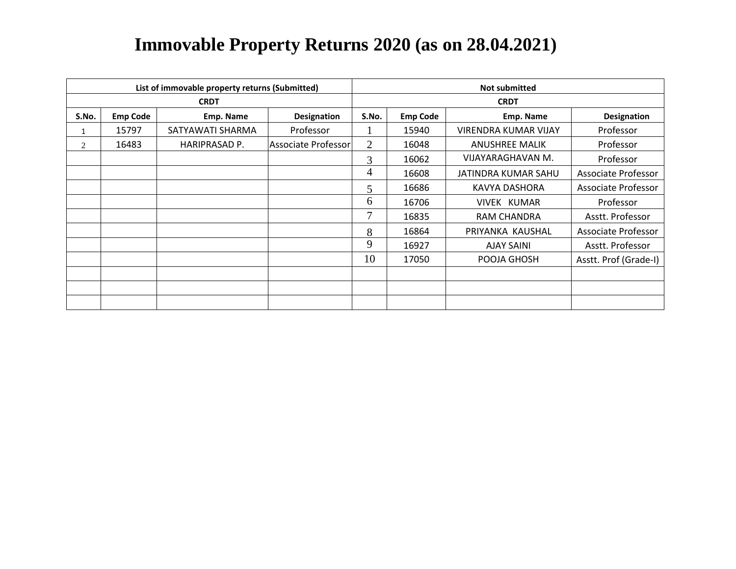| List of immovable property returns (Submitted) |                 |                  |                     | <b>Not submitted</b> |                 |                             |                       |  |
|------------------------------------------------|-----------------|------------------|---------------------|----------------------|-----------------|-----------------------------|-----------------------|--|
|                                                |                 | <b>CRDT</b>      |                     | <b>CRDT</b>          |                 |                             |                       |  |
| S.No.                                          | <b>Emp Code</b> | Emp. Name        | <b>Designation</b>  | S.No.                | <b>Emp Code</b> | Emp. Name                   | <b>Designation</b>    |  |
|                                                | 15797           | SATYAWATI SHARMA | Professor           |                      | 15940           | <b>VIRENDRA KUMAR VIJAY</b> | Professor             |  |
| 2                                              | 16483           | HARIPRASAD P.    | Associate Professor | 2                    | 16048           | <b>ANUSHREE MALIK</b>       | Professor             |  |
|                                                |                 |                  |                     | 3                    | 16062           | VIJAYARAGHAVAN M.           | Professor             |  |
|                                                |                 |                  |                     | 4                    | 16608           | JATINDRA KUMAR SAHU         | Associate Professor   |  |
|                                                |                 |                  |                     | 5                    | 16686           | KAVYA DASHORA               | Associate Professor   |  |
|                                                |                 |                  |                     | 6                    | 16706           | VIVEK KUMAR                 | Professor             |  |
|                                                |                 |                  |                     | 7                    | 16835           | RAM CHANDRA                 | Asstt. Professor      |  |
|                                                |                 |                  |                     | 8                    | 16864           | PRIYANKA KAUSHAL            | Associate Professor   |  |
|                                                |                 |                  |                     | 9                    | 16927           | <b>AJAY SAINI</b>           | Asstt. Professor      |  |
|                                                |                 |                  |                     | 10                   | 17050           | POOJA GHOSH                 | Asstt. Prof (Grade-I) |  |
|                                                |                 |                  |                     |                      |                 |                             |                       |  |
|                                                |                 |                  |                     |                      |                 |                             |                       |  |
|                                                |                 |                  |                     |                      |                 |                             |                       |  |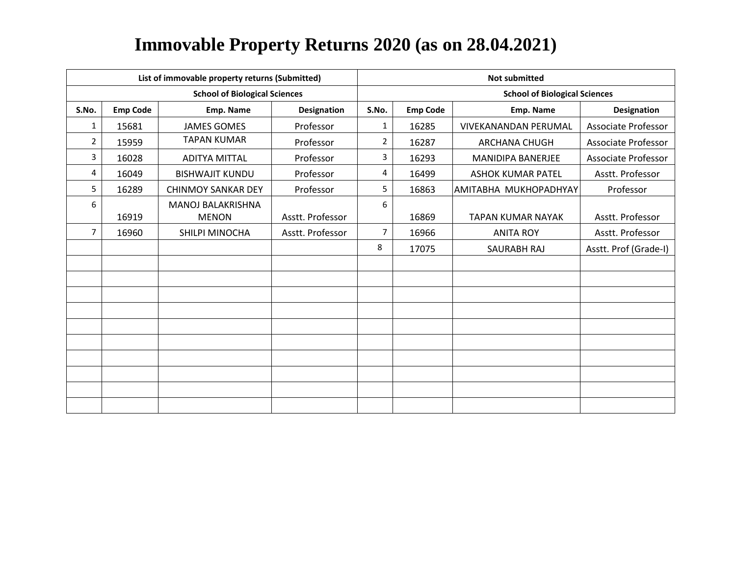| List of immovable property returns (Submitted) |                 |                                      |                    | <b>Not submitted</b> |                 |                                      |                       |  |
|------------------------------------------------|-----------------|--------------------------------------|--------------------|----------------------|-----------------|--------------------------------------|-----------------------|--|
|                                                |                 | <b>School of Biological Sciences</b> |                    |                      |                 | <b>School of Biological Sciences</b> |                       |  |
| S.No.                                          | <b>Emp Code</b> | Emp. Name                            | <b>Designation</b> | S.No.                | <b>Emp Code</b> | Emp. Name                            | <b>Designation</b>    |  |
| 1                                              | 15681           | <b>JAMES GOMES</b>                   | Professor          | $\mathbf{1}$         | 16285           | <b>VIVEKANANDAN PERUMAL</b>          | Associate Professor   |  |
| $\overline{2}$                                 | 15959           | <b>TAPAN KUMAR</b>                   | Professor          | $\overline{2}$       | 16287           | <b>ARCHANA CHUGH</b>                 | Associate Professor   |  |
| 3                                              | 16028           | <b>ADITYA MITTAL</b>                 | Professor          | 3                    | 16293           | <b>MANIDIPA BANERJEE</b>             | Associate Professor   |  |
| 4                                              | 16049           | <b>BISHWAJIT KUNDU</b>               | Professor          | 4                    | 16499           | <b>ASHOK KUMAR PATEL</b>             | Asstt. Professor      |  |
| 5                                              | 16289           | <b>CHINMOY SANKAR DEY</b>            | Professor          | 5                    | 16863           | AMITABHA MUKHOPADHYAY                | Professor             |  |
| 6                                              |                 | MANOJ BALAKRISHNA                    |                    | 6                    |                 |                                      |                       |  |
|                                                | 16919           | <b>MENON</b>                         | Asstt. Professor   |                      | 16869           | <b>TAPAN KUMAR NAYAK</b>             | Asstt. Professor      |  |
| $\overline{7}$                                 | 16960           | SHILPI MINOCHA                       | Asstt. Professor   | $\overline{7}$       | 16966           | <b>ANITA ROY</b>                     | Asstt. Professor      |  |
|                                                |                 |                                      |                    | 8                    | 17075           | SAURABH RAJ                          | Asstt. Prof (Grade-I) |  |
|                                                |                 |                                      |                    |                      |                 |                                      |                       |  |
|                                                |                 |                                      |                    |                      |                 |                                      |                       |  |
|                                                |                 |                                      |                    |                      |                 |                                      |                       |  |
|                                                |                 |                                      |                    |                      |                 |                                      |                       |  |
|                                                |                 |                                      |                    |                      |                 |                                      |                       |  |
|                                                |                 |                                      |                    |                      |                 |                                      |                       |  |
|                                                |                 |                                      |                    |                      |                 |                                      |                       |  |
|                                                |                 |                                      |                    |                      |                 |                                      |                       |  |
|                                                |                 |                                      |                    |                      |                 |                                      |                       |  |
|                                                |                 |                                      |                    |                      |                 |                                      |                       |  |